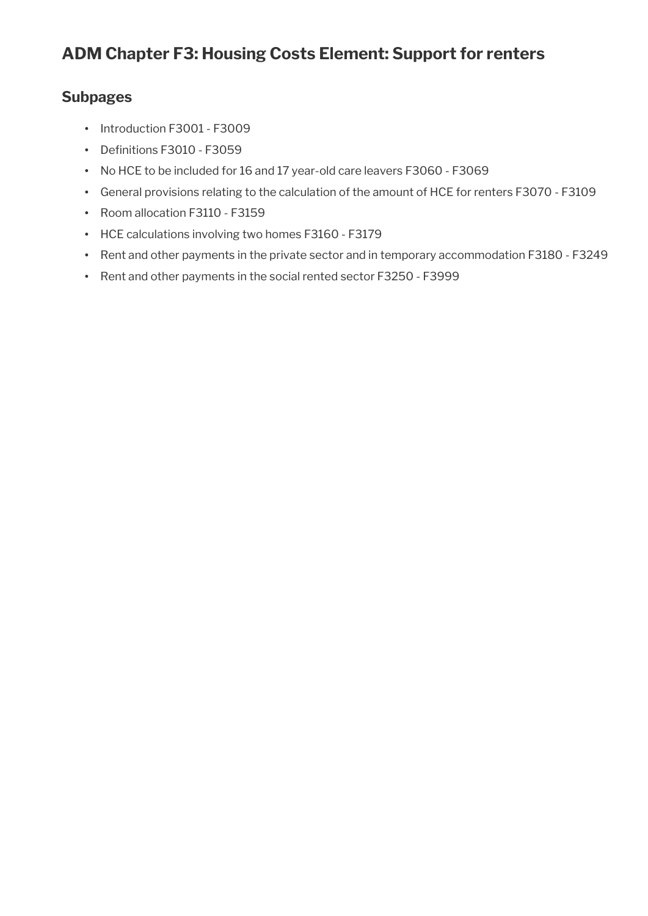# **Subpages**

- Introduction F3001 F3009
- Definitions F3010 F3059
- No HCE to be included for 16 and 17 year-old care leavers F3060 F3069
- General provisions relating to the calculation of the amount of HCE for renters F3070 F3109
- Room allocation F3110 F3159
- HCE calculations involving two homes F3160 F3179
- Rent and other payments in the private sector and in temporary accommodation F3180 F3249
- Rent and other payments in the social rented sector F3250 F3999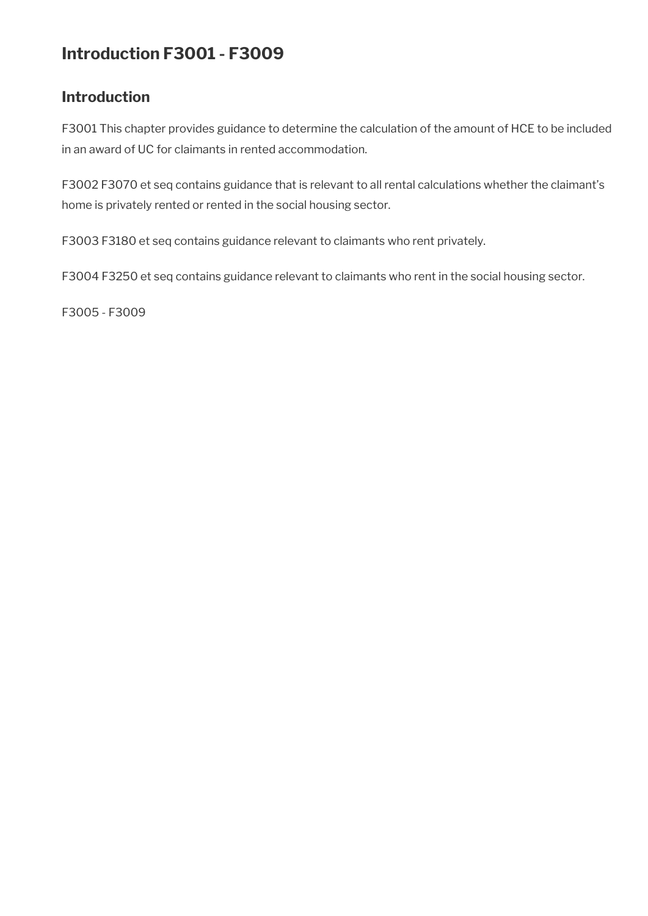# **Introduction F3001 - F3009**

# **Introduction**

F3001 This chapter provides guidance to determine the calculation of the amount of HCE to be included in an award of UC for claimants in rented accommodation.

F3002 F3070 et seq contains guidance that is relevant to all rental calculations whether the claimant's home is privately rented or rented in the social housing sector.

F3003 F3180 et seq contains guidance relevant to claimants who rent privately.

F3004 F3250 et seq contains guidance relevant to claimants who rent in the social housing sector.

F3005 - F3009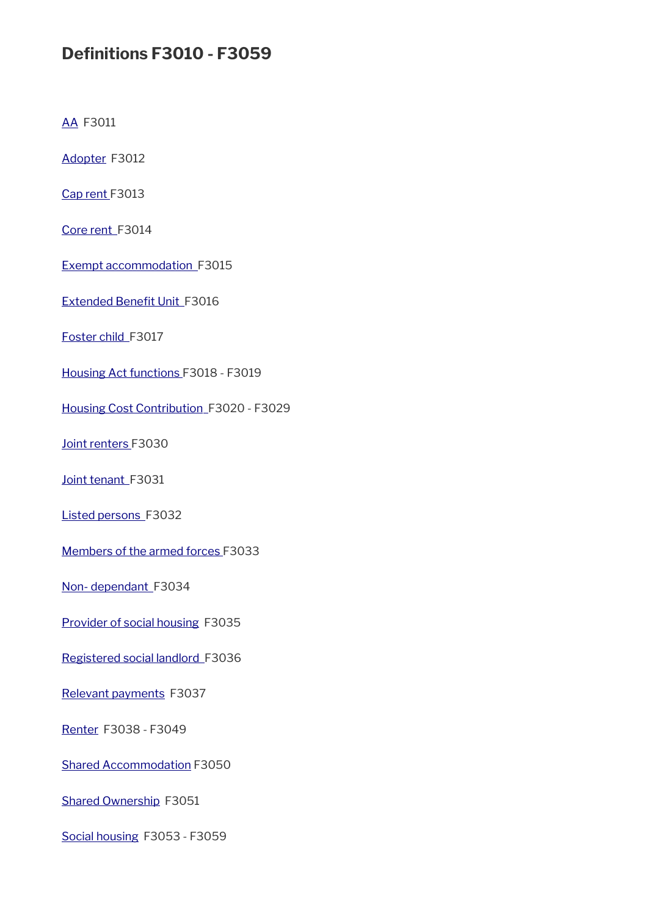# **Defnitions F3010 - F3059**

[AA](#page-3-0) F3011

[Adopter](#page-3-5) F3012

[Cap rent](#page-3-4) F3013

Core rent\_F3014

[Exempt accommodation](#page-3-2) F3015

Extended Benefit Unit\_F3016

[Foster child](#page-4-5) F3017

[Housing Act functions F](#page-4-4)3018 - F3019

[Housing Cost Contribution](#page-4-3) F3020 - F3029

[Joint renters F](#page-4-2)3030

[Joint tenant](#page-4-1) F3031

[Listed persons](#page-4-0) F3032

[Members of the armed forces F](#page-5-1)3033

[Non- dependant](#page-5-0) F3034

[Provider of social housing](#page-6-2) F3035

[Registered social landlord](#page-6-1) F3036

[Relevant payments](#page-6-0) F3037

[Renter](#page-7-3) F3038 - F3049

[Shared Accommodation](#page-7-2) F3050

[Shared Ownership](#page-7-1) F3051

[Social housing](#page-7-0) F3053 - F3059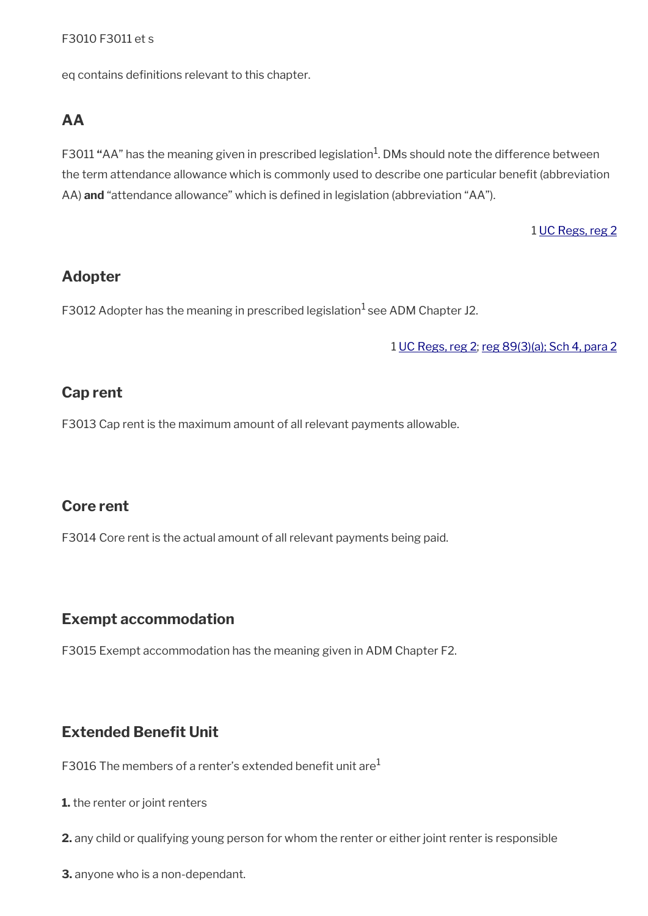## F3010 F3011 et s

eq contains definitions relevant to this chapter.

## <span id="page-3-0"></span>**AA**

F3011 "AA" has the meaning given in prescribed legislation<sup>1</sup>. DMs should note the difference between the term attendance allowance which is commonly used to describe one particular benefit (abbreviation AA) **and** "attendance allowance" which is defned in legislation (abbreviation "AA").

1 [UC Regs, reg 2](http://www.legislation.gov.uk/uksi/2013/376/regulation/2)

## <span id="page-3-5"></span>**Adopter**

F3012 Adopter has the meaning in prescribed legislation<sup>1</sup> see ADM Chapter J2.

1 [UC Regs, reg 2](http://www.legislation.gov.uk/uksi/2013/376/regulation/2); [reg 89\(3\)\(a\);](http://www.legislation.gov.uk/uksi/2013/376/regulation/89) [Sch 4, para 2](http://www.legislation.gov.uk/uksi/2013/376/schedule/4)

## <span id="page-3-4"></span>**Cap rent**

F3013 Cap rent is the maximum amount of all relevant payments allowable.

# <span id="page-3-3"></span>**Core rent**

F3014 Core rent is the actual amount of all relevant payments being paid.

## <span id="page-3-2"></span>**Exempt accommodation**

F3015 Exempt accommodation has the meaning given in ADM Chapter F2.

# <span id="page-3-1"></span>**Extended Benefit Unit**

F3016 The members of a renter's extended benefit unit are $<sup>1</sup>$ </sup>

- **1.** the renter or joint renters
- **2.** any child or qualifying young person for whom the renter or either joint renter is responsible
- **3.** anyone who is a non-dependant.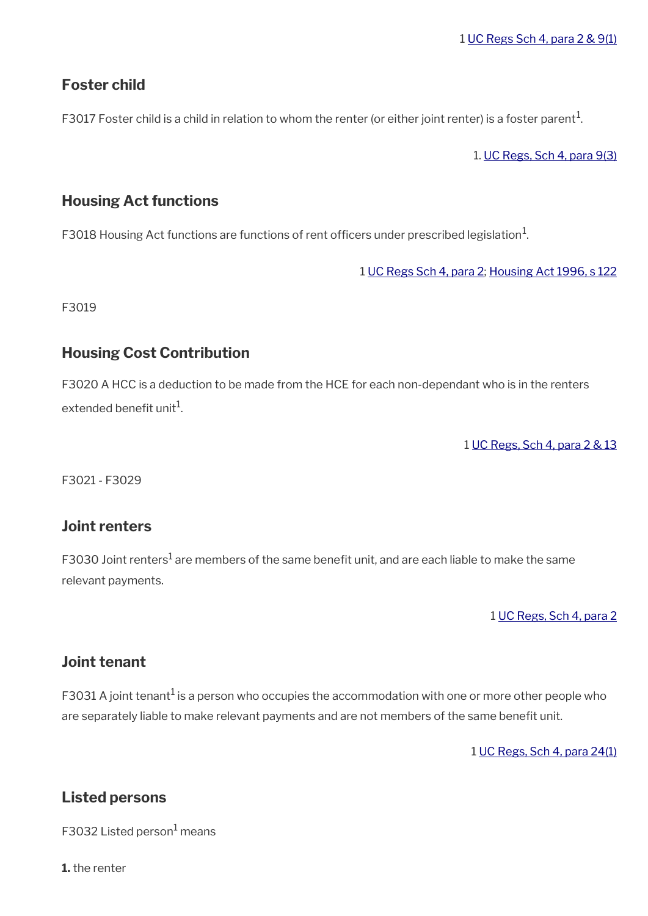# <span id="page-4-5"></span>**Foster child**

<code>F3017</code> Foster child is a child in relation to whom the renter (or either joint renter) is a foster parent $^{\rm 1}$ .

1. [UC Regs, Sch 4, para 9\(3\)](http://www.legislation.gov.uk/uksi/2013/376/schedule/4)

# <span id="page-4-4"></span>**Housing Act functions**

F3018 Housing Act functions are functions of rent officers under prescribed legislation $^1$ .

1 [UC Regs Sch 4, para 2;](http://www.legislation.gov.uk/uksi/2013/376/schedule/4) [Housing Act 1996, s 122](http://www.legislation.gov.uk/ukpga/1996/52/section/122)

F3019

# <span id="page-4-3"></span>**Housing Cost Contribution**

F3020 A HCC is a deduction to be made from the HCE for each non-dependant who is in the renters extended benefit unit $^{\rm 1}$ .

1 [UC Regs, Sch 4, para 2 & 13](http://www.legislation.gov.uk/uksi/2013/376/schedule/4)

F3021 - F3029

# <span id="page-4-2"></span>**Joint renters**

F3030 Joint renters $^1$  are members of the same benefit unit, and are each liable to make the same relevant payments.

1 [UC Regs, Sch 4, para 2](http://www.legislation.gov.uk/uksi/2013/376/schedule/4)

# <span id="page-4-1"></span>**Joint tenant**

F3031 A joint tenant<sup>1</sup> is a person who occupies the accommodation with one or more other people who are separately liable to make relevant payments and are not members of the same benefit unit.

1 [UC Regs, Sch 4, para 24\(1\)](http://www.legislation.gov.uk/uksi/2013/376/schedule/4)

# <span id="page-4-0"></span>**Listed persons**

F3032 Listed person<sup>1</sup> means

**1.** the renter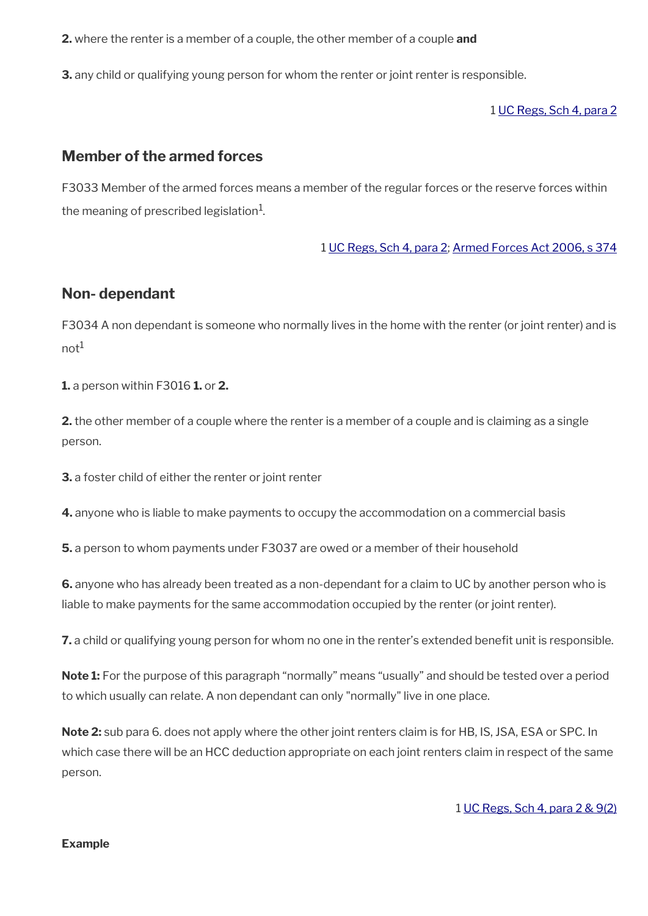**2.** where the renter is a member of a couple, the other member of a couple **and**

**3.** any child or qualifying young person for whom the renter or joint renter is responsible.

1 [UC Regs, Sch 4, para 2](http://www.legislation.gov.uk/uksi/2013/376/schedule/4)

## <span id="page-5-1"></span>**Member of the armed forces**

F3033 Member of the armed forces means a member of the regular forces or the reserve forces within the meaning of prescribed legislation $^{\rm 1}$ .

1 [UC Regs, Sch 4, para 2](http://www.legislation.gov.uk/uksi/2013/376/schedule/4); [Armed Forces Act 2006, s 374](http://www.legislation.gov.uk/ukpga/2006/52/section/274)

## <span id="page-5-0"></span>**Non- dependant**

F3034 A non dependant is someone who normally lives in the home with the renter (or joint renter) and is  $not<sup>1</sup>$ 

**1.** a person within F3016 **1.** or **2.** 

**2.** the other member of a couple where the renter is a member of a couple and is claiming as a single person.

**3.** a foster child of either the renter or joint renter

**4.** anyone who is liable to make payments to occupy the accommodation on a commercial basis

**5.** a person to whom payments under F3037 are owed or a member of their household

**6.** anyone who has already been treated as a non-dependant for a claim to UC by another person who is liable to make payments for the same accommodation occupied by the renter (or joint renter).

**7.** a child or qualifying young person for whom no one in the renter's extended benefit unit is responsible.

**Note 1:** For the purpose of this paragraph "normally" means "usually" and should be tested over a period to which usually can relate. A non dependant can only "normally" live in one place.

**Note 2:** sub para 6. does not apply where the other joint renters claim is for HB, IS, JSA, ESA or SPC. In which case there will be an HCC deduction appropriate on each joint renters claim in respect of the same person.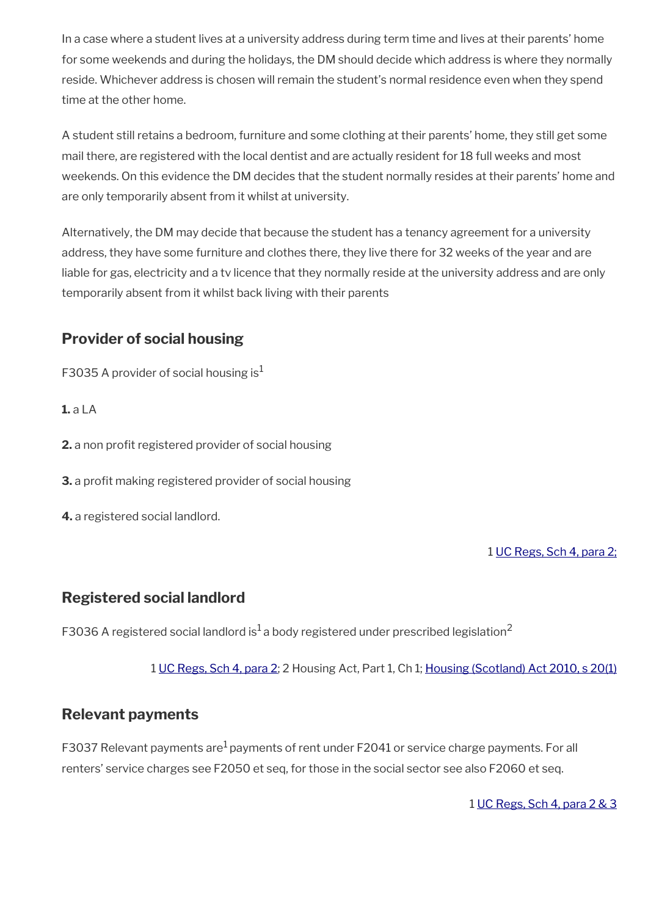In a case where a student lives at a university address during term time and lives at their parents' home for some weekends and during the holidays, the DM should decide which address is where they normally reside. Whichever address is chosen will remain the student's normal residence even when they spend time at the other home.

A student still retains a bedroom, furniture and some clothing at their parents' home, they still get some mail there, are registered with the local dentist and are actually resident for 18 full weeks and most weekends. On this evidence the DM decides that the student normally resides at their parents' home and are only temporarily absent from it whilst at university.

Alternatively, the DM may decide that because the student has a tenancy agreement for a university address, they have some furniture and clothes there, they live there for 32 weeks of the year and are liable for gas, electricity and a tv licence that they normally reside at the university address and are only temporarily absent from it whilst back living with their parents

# <span id="page-6-2"></span>**Provider of social housing**

F3035 A provider of social housing is<sup>1</sup>

**1.** a LA

**2.** a non profit registered provider of social housing

**3.** a profit making registered provider of social housing

**4.** a registered social landlord.

1 [UC Regs, Sch 4, para 2;](http://www.legislation.gov.uk/uksi/2013/376/schedule/4)

# <span id="page-6-1"></span>**Registered social landlord**

F3036 A registered social landlord is<sup>1</sup> a body registered under prescribed legislation<sup>2</sup>

1 [UC Regs, Sch 4, para 2](http://www.legislation.gov.uk/uksi/2013/376/schedule/4); 2 Housing Act, Part 1, Ch 1; [Housing \(Scotland\) Act 2010, s 20\(1\)](http://www.legislation.gov.uk/asp/2010/17/section/20)

# <span id="page-6-0"></span>**Relevant payments**

F3037 Relevant payments are<sup>1</sup> payments of rent under F2041 or service charge payments. For all renters' service charges see F2050 et seq, for those in the social sector see also F2060 et seq.

1 [UC Regs, Sch 4, para 2 & 3](http://www.legislation.gov.uk/uksi/2013/376/schedule/4)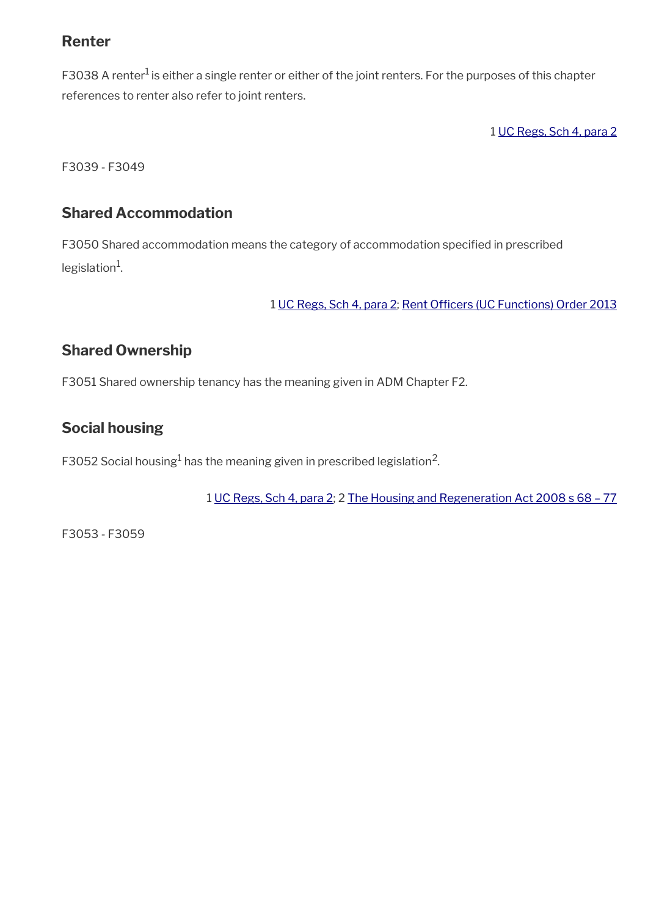# <span id="page-7-3"></span>**Renter**

F3038 A renter<sup>1</sup> is either a single renter or either of the joint renters. For the purposes of this chapter references to renter also refer to joint renters.

1 [UC Regs, Sch 4, para 2](http://www.legislation.gov.uk/uksi/2013/376/schedule/4)

F3039 - F3049

# <span id="page-7-2"></span>**Shared Accommodation**

F3050 Shared accommodation means the category of accommodation specifed in prescribed legislation<sup>1</sup>.

1 [UC Regs, Sch 4, para 2;](http://www.legislation.gov.uk/uksi/2013/376/schedule/4) Rent Officers (UC Functions) Order 2013

# <span id="page-7-1"></span>**Shared Ownership**

F3051 Shared ownership tenancy has the meaning given in ADM Chapter F2.

# <span id="page-7-0"></span>**Social housing**

F3052 Social housing $^1$  has the meaning given in prescribed legislation $^2$ .

1 [UC Regs, Sch 4, para 2](http://www.legislation.gov.uk/uksi/2013/376/schedule/4); 2 [The Housing and Regeneration Act 2008 s 68 – 77](http://www.legislation.gov.uk/ukpga/2008/17/contents)

F3053 - F3059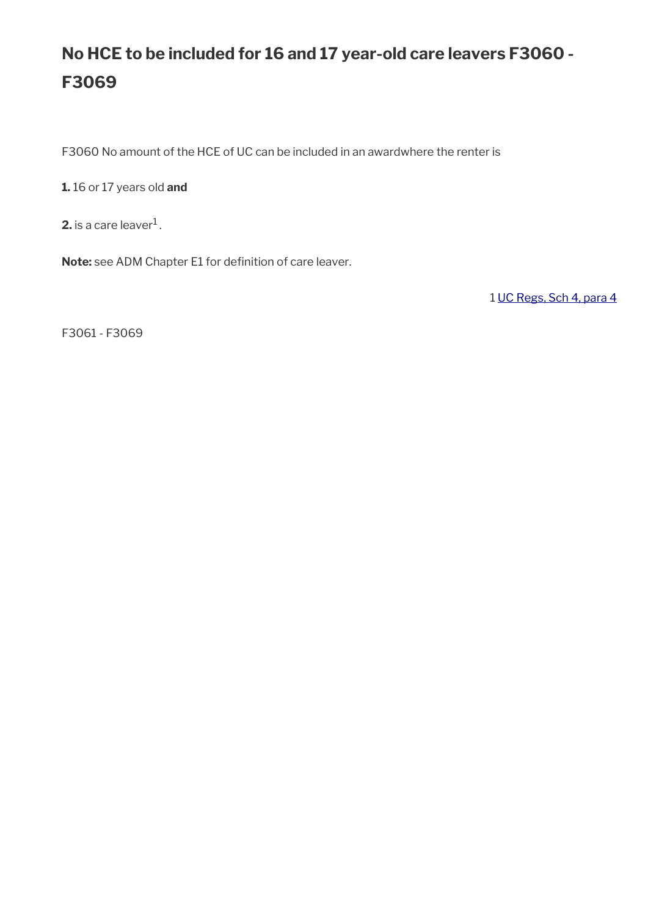# **No HCE to be included for 16 and 17 year-old care leavers F3060 - F3069**

F3060 No amount of the HCE of UC can be included in an awardwhere the renter is

**1.** 16 or 17 years old **and** 

**2.** is a care leaver $^1$  .

Note: see ADM Chapter E1 for definition of care leaver.

1 [UC Regs, Sch 4, para 4](http://www.legislation.gov.uk/uksi/2013/376/schedule/4)

F3061 - F3069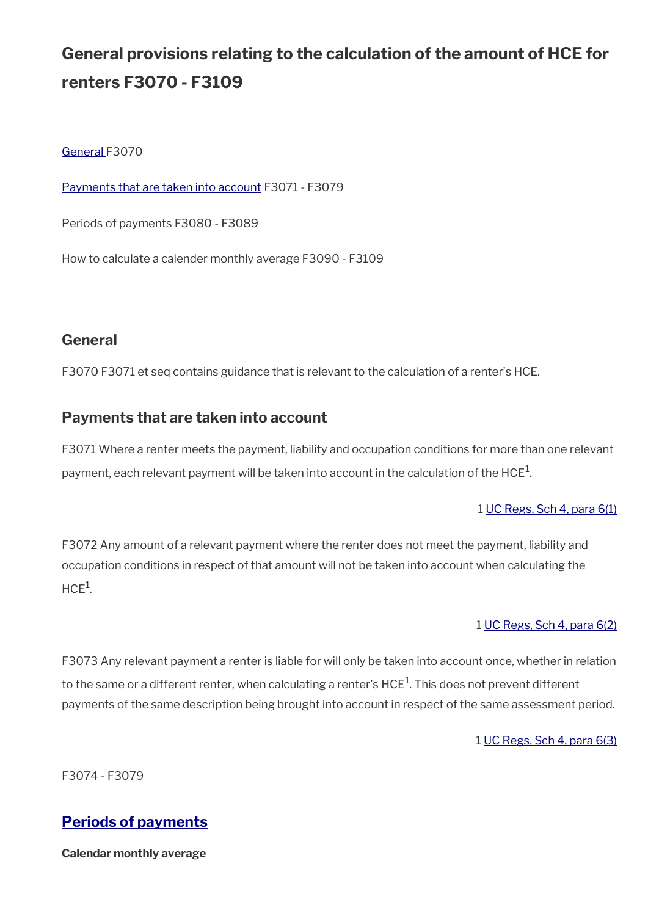# **General provisions relating to the calculation of the amount of HCE for renters F3070 - F3109**

[General](#page-9-2) F3070

[Payments that are taken into account](#page-9-1) F3071 - F3079

Periods of payments F3080 - F3089

How to calculate a calender monthly average F3090 - F3109

# <span id="page-9-2"></span>**General**

F3070 F3071 et seq contains guidance that is relevant to the calculation of a renter's HCE.

# <span id="page-9-1"></span>**Payments that are taken into account**

F3071 Where a renter meets the payment, liability and occupation conditions for more than one relevant payment, each relevant payment will be taken into account in the calculation of the HCE $^1$ .

## 1 [UC Regs, Sch 4, para 6\(1\)](http://www.legislation.gov.uk/uksi/2013/376/schedule/4)

F3072 Any amount of a relevant payment where the renter does not meet the payment, liability and occupation conditions in respect of that amount will not be taken into account when calculating the  $HCE<sup>1</sup>$ .

## 1 [UC Regs, Sch 4, para 6\(2\)](http://www.legislation.gov.uk/uksi/2013/376/schedule/4)

F3073 Any relevant payment a renter is liable for will only be taken into account once, whether in relation to the same or a different renter, when calculating a renter's HCE $^1$ . This does not prevent different payments of the same description being brought into account in respect of the same assessment period.

1 [UC Regs, Sch 4, para 6\(3\)](http://www.legislation.gov.uk/uksi/2013/376/schedule/4)

F3074 - F3079

# <span id="page-9-0"></span>**[Periods of payments](#page-9-0)**

**Calendar monthly average**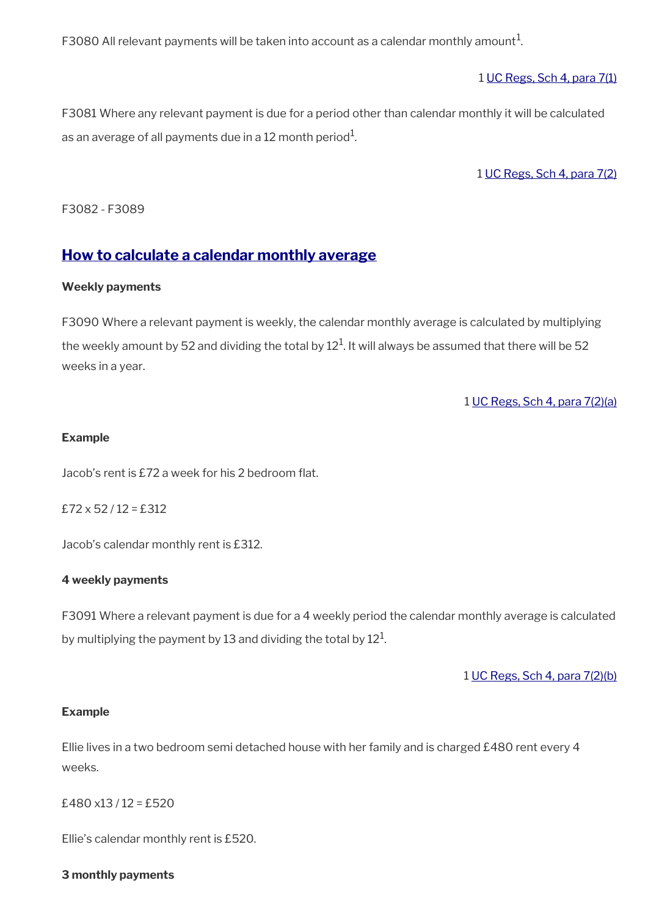F3080 All relevant payments will be taken into account as a calendar monthly amount $^1$ .

1 [UC Regs, Sch 4, para 7\(1\)](http://www.legislation.gov.uk/uksi/2013/376/schedule/4)

F3081 Where any relevant payment is due for a period other than calendar monthly it will be calculated as an average of all payments due in a 12 month period $^{\rm 1}$ .

1 [UC Regs, Sch 4, para 7\(2\)](http://www.legislation.gov.uk/uksi/2013/376/schedule/4)

F3082 - F3089

# <span id="page-10-0"></span>**[How to calculate a calendar monthly average](#page-10-0)**

#### **Weekly payments**

F3090 Where a relevant payment is weekly, the calendar monthly average is calculated by multiplying the weekly amount by 52 and dividing the total by 12 $^{\rm 1}$ . It will always be assumed that there will be 52 weeks in a year.

1 [UC Regs, Sch 4, para 7\(2\)\(a\)](http://www.legislation.gov.uk/uksi/2013/376/schedule/4)

#### **Example**

Jacob's rent is £72 a week for his 2 bedroom flat.

 $£72 \times 52 / 12 = £312$ 

Jacob's calendar monthly rent is £312.

#### **4 weekly payments**

F3091 Where a relevant payment is due for a 4 weekly period the calendar monthly average is calculated by multiplying the payment by 13 and dividing the total by  $12^1\!\!$ 

1 [UC Regs, Sch 4, para 7\(2\)\(b\)](http://www.legislation.gov.uk/uksi/2013/376/schedule/4)

#### **Example**

Ellie lives in a two bedroom semi detached house with her family and is charged £480 rent every 4 weeks.

£480 $x13/12 =$ £520

Ellie's calendar monthly rent is £520.

#### **3 monthly payments**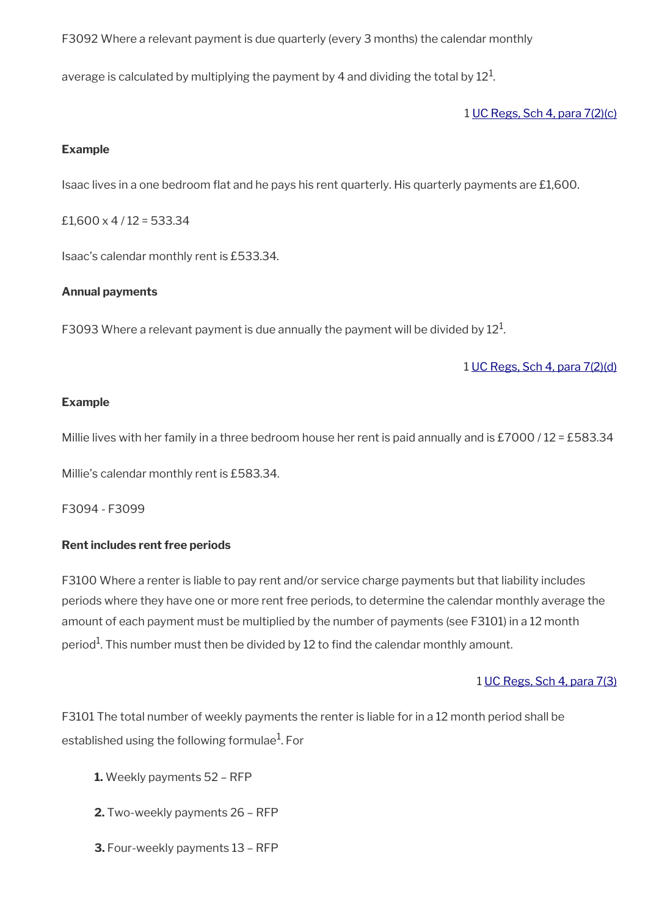F3092 Where a relevant payment is due quarterly (every 3 months) the calendar monthly

average is calculated by multiplying the payment by 4 and dividing the total by  $12^1\!\!$ 

1 [UC Regs, Sch 4, para 7\(2\)\(c\)](http://www.legislation.gov.uk/uksi/2013/376/schedule/4)

#### **Example**

Isaac lives in a one bedroom flat and he pays his rent quarterly. His quarterly payments are  $£1,600$ .

£1,600  $\times$  4 / 12 = 533.34

Isaac's calendar monthly rent is £533.34.

#### **Annual payments**

F3093 Where a relevant payment is due annually the payment will be divided by  $12^1$ .

1 [UC Regs, Sch 4, para 7\(2\)\(d\)](http://www.legislation.gov.uk/uksi/2013/376/schedule/4)

#### **Example**

Millie lives with her family in a three bedroom house her rent is paid annually and is £7000 / 12 = £583.34

Millie's calendar monthly rent is £583.34.

F3094 - F3099

## **Rent includes rent free periods**

F3100 Where a renter is liable to pay rent and/or service charge payments but that liability includes periods where they have one or more rent free periods, to determine the calendar monthly average the amount of each payment must be multiplied by the number of payments (see F3101) in a 12 month period $^{\rm 1}$ . This number must then be divided by 12 to find the calendar monthly amount.

## 1 [UC Regs, Sch 4, para 7\(3\)](http://www.legislation.gov.uk/uksi/2013/376/schedule/4)

F3101 The total number of weekly payments the renter is liable for in a 12 month period shall be established using the following formulae $^{\rm 1}$ . For

- **1.** Weekly payments 52 RFP
- **2.** Two-weekly payments 26 RFP
- **3.** Four-weekly payments 13 RFP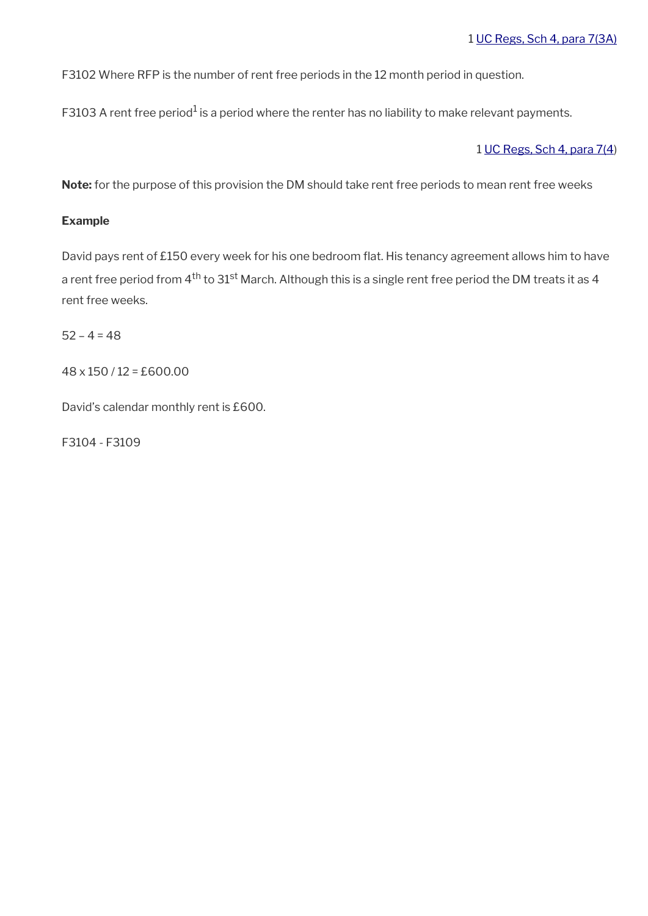F3102 Where RFP is the number of rent free periods in the 12 month period in question.

F3103 A rent free period $^{\rm 1}$  is a period where the renter has no liability to make relevant payments.

## 1 [UC Regs, Sch 4, para 7\(4](http://www.legislation.gov.uk/uksi/2013/376/schedule/4))

**Note:** for the purpose of this provision the DM should take rent free periods to mean rent free weeks

## **Example**

David pays rent of £150 every week for his one bedroom flat. His tenancy agreement allows him to have a rent free period from  $4^{\text{th}}$  to  $31^{\text{st}}$  March. Although this is a single rent free period the DM treats it as 4 rent free weeks.

 $52 - 4 = 48$ 

48 x 150 / 12 = £600.00

David's calendar monthly rent is £600.

F3104 - F3109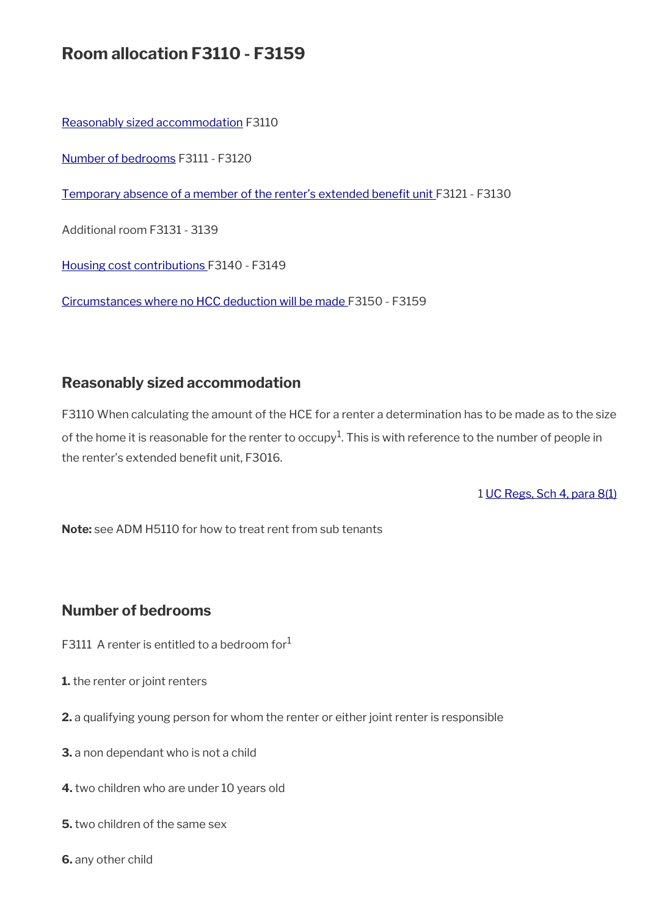# **Room allocation F3110 - F3159**

[Reasonably sized accommodation](#page-13-1) F3110

[Number of bedrooms](#page-13-0) F3111 - F3120

Temporary absence of a member of the renter's extended benefit unit F3121 - F3130

Additional room F3131 - 3139

[Housing cost contributions F](#page-22-0)3140 - F3149

[Circumstances where no HCC deduction will be made F](#page-23-0)3150 - F3159

# <span id="page-13-1"></span>**Reasonably sized accommodation**

F3110 When calculating the amount of the HCE for a renter a determination has to be made as to the size of the home it is reasonable for the renter to occupy $^1$ . This is with reference to the number of people in the renter's extended benefit unit, F3016.

1 [UC Regs, Sch 4, para 8\(1\)](http://www.legislation.gov.uk/uksi/2013/376/schedule/4)

**Note:** see ADM H5110 for how to treat rent from sub tenants

# <span id="page-13-0"></span>**Number of bedrooms**

- F3111 A renter is entitled to a bedroom for $1$
- **1.** the renter or joint renters
- **2.** a qualifying young person for whom the renter or either joint renter is responsible
- **3.** a non dependant who is not a child
- **4.** two children who are under 10 years old
- **5.** two children of the same sex
- **6.** any other child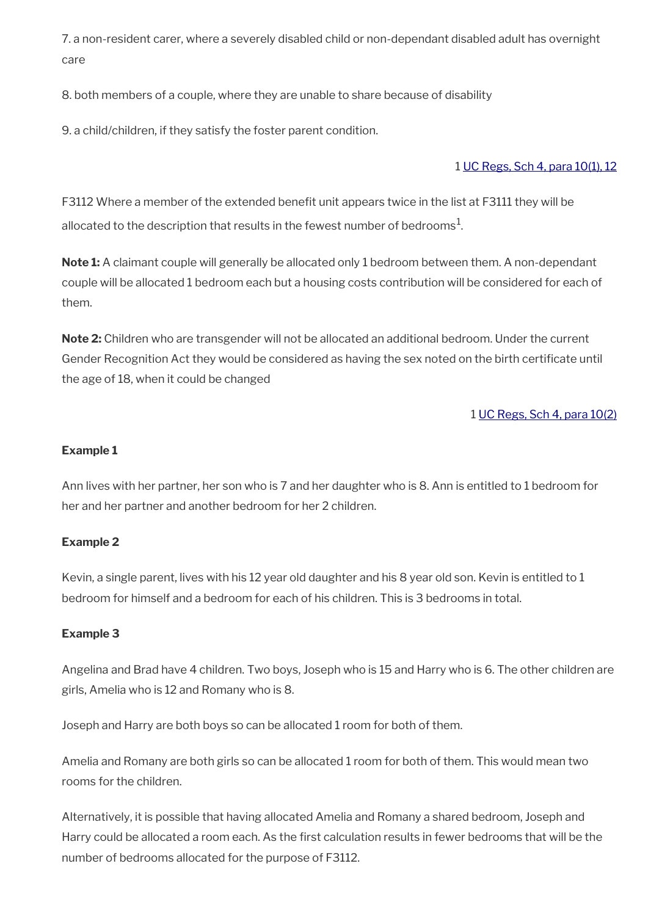7. a non-resident carer, where a severely disabled child or non-dependant disabled adult has overnight care

8. both members of a couple, where they are unable to share because of disability

9. a child/children, if they satisfy the foster parent condition.

## 1 [UC Regs, Sch 4, para 10\(1\), 12](http://www.legislation.gov.uk/uksi/2013/376/schedule/4)

F3112 Where a member of the extended benefit unit appears twice in the list at F3111 they will be allocated to the description that results in the fewest number of bedrooms $^1\!$ 

**Note 1:** A claimant couple will generally be allocated only 1 bedroom between them. A non-dependant couple will be allocated 1 bedroom each but a housing costs contribution will be considered for each of them.

**Note 2:** Children who are transgender will not be allocated an additional bedroom. Under the current Gender Recognition Act they would be considered as having the sex noted on the birth certifcate until the age of 18, when it could be changed

## 1 [UC Regs, Sch 4, para 10\(2\)](http://www.legislation.gov.uk/uksi/2013/376/schedule/4)

## **Example 1**

Ann lives with her partner, her son who is 7 and her daughter who is 8. Ann is entitled to 1 bedroom for her and her partner and another bedroom for her 2 children.

## **Example 2**

Kevin, a single parent, lives with his 12 year old daughter and his 8 year old son. Kevin is entitled to 1 bedroom for himself and a bedroom for each of his children. This is 3 bedrooms in total.

## **Example 3**

Angelina and Brad have 4 children. Two boys, Joseph who is 15 and Harry who is 6. The other children are girls, Amelia who is 12 and Romany who is 8.

Joseph and Harry are both boys so can be allocated 1 room for both of them.

Amelia and Romany are both girls so can be allocated 1 room for both of them. This would mean two rooms for the children.

Alternatively, it is possible that having allocated Amelia and Romany a shared bedroom, Joseph and Harry could be allocated a room each. As the first calculation results in fewer bedrooms that will be the number of bedrooms allocated for the purpose of F3112.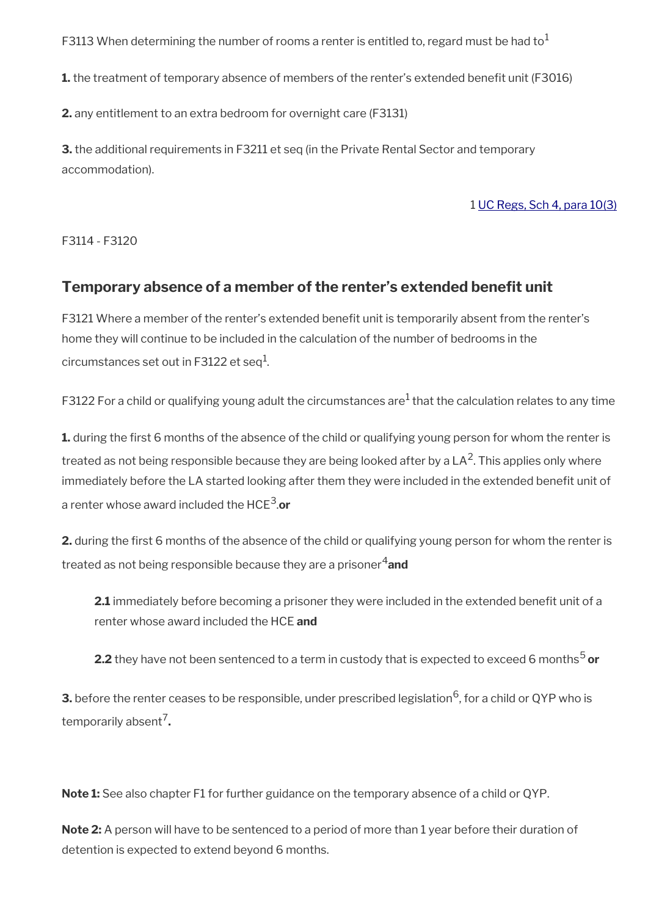F3113 When determining the number of rooms a renter is entitled to, regard must be had to<sup>1</sup>

**1.** the treatment of temporary absence of members of the renter's extended benefit unit (F3016)

**2.** any entitlement to an extra bedroom for overnight care (F3131)

**3.** the additional requirements in F3211 et seq (in the Private Rental Sector and temporary accommodation).

1 [UC Regs, Sch 4, para 10\(3\)](http://www.legislation.gov.uk/uksi/2013/376/schedule/4)

F3114 - F3120

# <span id="page-15-0"></span>**Temporary absence of a member of the renter's extended benefit unit**

F3121 Where a member of the renter's extended beneft unit is temporarily absent from the renter's home they will continue to be included in the calculation of the number of bedrooms in the circumstances set out in F3122 et seq $^1\!\!$ .

<code>F3122</code> For a child or qualifying young adult the circumstances are $^1$  that the calculation relates to any time

**1.** during the first 6 months of the absence of the child or qualifying young person for whom the renter is treated as not being responsible because they are being looked after by a LA<sup>2</sup>. This applies only where immediately before the LA started looking after them they were included in the extended benefit unit of a renter whose award included the HCE<sup>3</sup> .**or**

**2.** during the first 6 months of the absence of the child or qualifying young person for whom the renter is treated as not being responsible because they are a prisoner<sup>4</sup> and

**2.1** immediately before becoming a prisoner they were included in the extended benefit unit of a renter whose award included the HCE **and**

**2.2** they have not been sentenced to a term in custody that is expected to exceed 6 months<sup>5</sup> or

**3.** before the renter ceases to be responsible, under prescribed legislation  $6$ , for a child or QYP who is temporarily absent<sup>7</sup> **.**

**Note 1:** See also chapter F1 for further guidance on the temporary absence of a child or QYP.

**Note 2:** A person will have to be sentenced to a period of more than 1 year before their duration of detention is expected to extend beyond 6 months.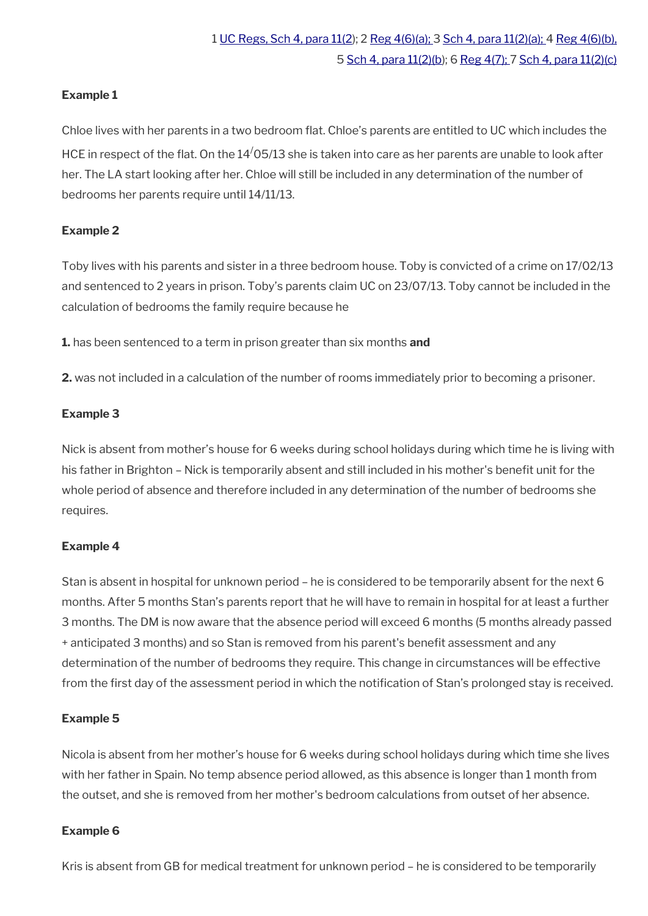## **Example 1**

Chloe lives with her parents in a two bedroom flat. Chloe's parents are entitled to UC which includes the HCE in respect of the flat. On the  $14/05/13$  she is taken into care as her parents are unable to look after her. The LA start looking after her. Chloe will still be included in any determination of the number of bedrooms her parents require until 14/11/13.

## **Example 2**

Toby lives with his parents and sister in a three bedroom house. Toby is convicted of a crime on 17/02/13 and sentenced to 2 years in prison. Toby's parents claim UC on 23/07/13. Toby cannot be included in the calculation of bedrooms the family require because he

**1.** has been sentenced to a term in prison greater than six months **and**

**2.** was not included in a calculation of the number of rooms immediately prior to becoming a prisoner.

## **Example 3**

Nick is absent from mother's house for 6 weeks during school holidays during which time he is living with his father in Brighton – Nick is temporarily absent and still included in his mother's benefit unit for the whole period of absence and therefore included in any determination of the number of bedrooms she requires.

## **Example 4**

Stan is absent in hospital for unknown period – he is considered to be temporarily absent for the next 6 months. After 5 months Stan's parents report that he will have to remain in hospital for at least a further 3 months. The DM is now aware that the absence period will exceed 6 months (5 months already passed + anticipated 3 months) and so Stan is removed from his parent's beneft assessment and any determination of the number of bedrooms they require. This change in circumstances will be effective from the first day of the assessment period in which the notification of Stan's prolonged stay is received.

## **Example 5**

Nicola is absent from her mother's house for 6 weeks during school holidays during which time she lives with her father in Spain. No temp absence period allowed, as this absence is longer than 1 month from the outset, and she is removed from her mother's bedroom calculations from outset of her absence.

## **Example 6**

Kris is absent from GB for medical treatment for unknown period – he is considered to be temporarily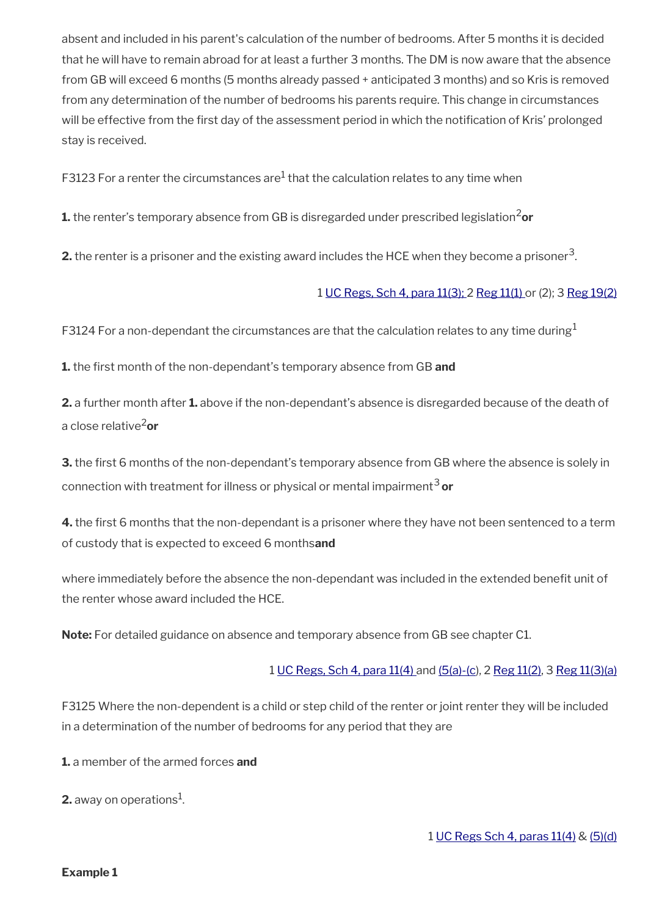absent and included in his parent's calculation of the number of bedrooms. After 5 months it is decided that he will have to remain abroad for at least a further 3 months. The DM is now aware that the absence from GB will exceed 6 months (5 months already passed + anticipated 3 months) and so Kris is removed from any determination of the number of bedrooms his parents require. This change in circumstances will be effective from the first day of the assessment period in which the notification of Kris' prolonged stay is received.

<code>F3123</code> For a renter the circumstances are $^{\rm 1}$  that the calculation relates to any time when

**1.** the renter's temporary absence from GB is disregarded under prescribed legislation<sup>2</sup>or

**2.** the renter is a prisoner and the existing award includes the HCE when they become a prisoner $^3$ .

## 1 [UC Regs, Sch 4, para 11\(3\);](http://www.legislation.gov.uk/uksi/2013/376/schedule/4) 2 [Reg 11\(1\)](http://www.legislation.gov.uk/uksi/2013/376/schedule/4) or (2); 3 [Reg 19\(2\)](http://www.legislation.gov.uk/uksi/2013/376/schedule/4)

F3124 For a non-dependant the circumstances are that the calculation relates to any time during<sup>1</sup>

**1.** the frst month of the non-dependant's temporary absence from GB **and**

**2.** a further month after **1.** above if the non-dependant's absence is disregarded because of the death of a close relative2**or**

**3.** the first 6 months of the non-dependant's temporary absence from GB where the absence is solely in connection with treatment for illness or physical or mental impairment<sup>3</sup> **or**

**4.** the first 6 months that the non-dependant is a prisoner where they have not been sentenced to a term of custody that is expected to exceed 6 months**and**

where immediately before the absence the non-dependant was included in the extended benefit unit of the renter whose award included the HCE.

**Note:** For detailed guidance on absence and temporary absence from GB see chapter C1.

## 1 [UC Regs, Sch 4, para 11\(4\)](http://www.legislation.gov.uk/uksi/2013/376/schedule/4) and [\(5\(a\)-\(c](http://www.legislation.gov.uk/uksi/2013/376/schedule/4)), 2 [Reg 11\(2\)](http://www.legislation.gov.uk/uksi/2013/376/schedule/4), 3 [Reg 11\(3\)\(a\)](http://www.legislation.gov.uk/uksi/2013/376/schedule/4)

F3125 Where the non-dependent is a child or step child of the renter or joint renter they will be included in a determination of the number of bedrooms for any period that they are

**1.** a member of the armed forces **and**

**2.** away on operations $^1$ .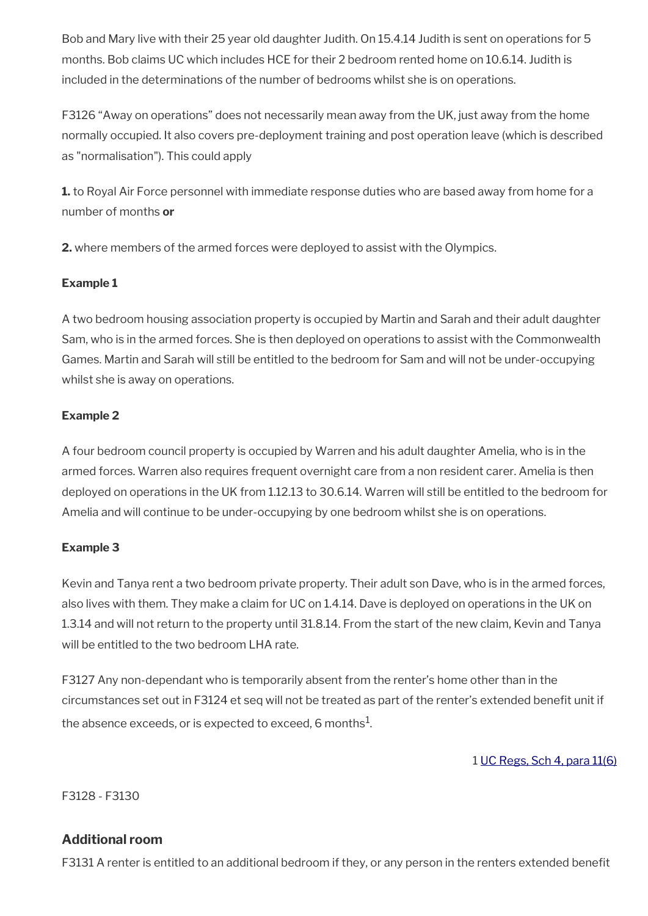Bob and Mary live with their 25 year old daughter Judith. On 15.4.14 Judith is sent on operations for 5 months. Bob claims UC which includes HCE for their 2 bedroom rented home on 10.6.14. Judith is included in the determinations of the number of bedrooms whilst she is on operations.

F3126 "Away on operations" does not necessarily mean away from the UK, just away from the home normally occupied. It also covers pre-deployment training and post operation leave (which is described as "normalisation"). This could apply

**1.** to Royal Air Force personnel with immediate response duties who are based away from home for a number of months **or**

**2.** where members of the armed forces were deployed to assist with the Olympics.

## **Example 1**

A two bedroom housing association property is occupied by Martin and Sarah and their adult daughter Sam, who is in the armed forces. She is then deployed on operations to assist with the Commonwealth Games. Martin and Sarah will still be entitled to the bedroom for Sam and will not be under-occupying whilst she is away on operations.

## **Example 2**

A four bedroom council property is occupied by Warren and his adult daughter Amelia, who is in the armed forces. Warren also requires frequent overnight care from a non resident carer. Amelia is then deployed on operations in the UK from 1.12.13 to 30.6.14. Warren will still be entitled to the bedroom for Amelia and will continue to be under-occupying by one bedroom whilst she is on operations.

## **Example 3**

Kevin and Tanya rent a two bedroom private property. Their adult son Dave, who is in the armed forces, also lives with them. They make a claim for UC on 1.4.14. Dave is deployed on operations in the UK on 1.3.14 and will not return to the property until 31.8.14. From the start of the new claim, Kevin and Tanya will be entitled to the two bedroom LHA rate.

F3127 Any non-dependant who is temporarily absent from the renter's home other than in the circumstances set out in F3124 et seq will not be treated as part of the renter's extended beneft unit if the absence exceeds, or is expected to exceed, 6 months $^{\mathrm{1}}$ .

1 [UC Regs, Sch 4, para 11\(6\)](http://www.legislation.gov.uk/uksi/2013/376/schedule/4)

F3128 - F3130

# **Additional room**

F3131 A renter is entitled to an additional bedroom if they, or any person in the renters extended beneft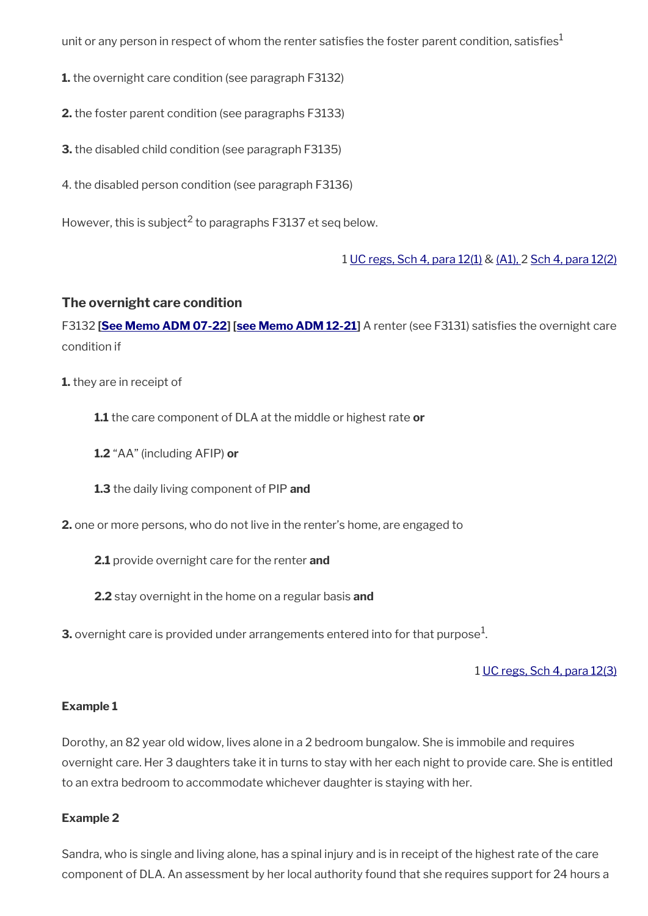unit or any person in respect of whom the renter satisfies the foster parent condition, satisfies<sup>1</sup>

**1.** the overnight care condition (see paragraph F3132)

**2.** the foster parent condition (see paragraphs F3133)

**3.** the disabled child condition (see paragraph F3135)

4. the disabled person condition (see paragraph F3136)

However, this is subject<sup>2</sup> to paragraphs F3137 et seq below.

1 [UC regs, Sch 4, para 12\(1\)](http://www.legislation.gov.uk/uksi/2013/376/schedule/4) & [\(A1\), 2 Sch 4, para 12\(2\)](http://www.legislation.gov.uk/uksi/2013/376/schedule/4)

## **The overnight care condition**

F3132 **[\[See Memo ADM 07-22\]](https://intranet.dwp.gov.uk/manual/advice-decision-making-adm/07-22-adult-disability-payment-uc-esa-ns-jsa-ns) [\[see Memo ADM 12-21](https://intranet.dwp.gov.uk/manual/advice-decision-making-adm/12-21-disability-assistance-children-and-young-people-consequential-amendments-social-security)]** A renter (see F3131) satisfes the overnight care condition if

- **1.** they are in receipt of
	- **1.1** the care component of DLA at the middle or highest rate **or**
	- **1.2** "AA" (including AFIP) **or**
	- **1.3** the daily living component of PIP **and**
- **2.** one or more persons, who do not live in the renter's home, are engaged to
	- **2.1** provide overnight care for the renter **and**
	- **2.2** stay overnight in the home on a regular basis **and**
- ${\bf 3.}$  overnight care is provided under arrangements entered into for that purpose $^1$ .

1 [UC regs, Sch 4, para 12\(3\)](http://www.legislation.gov.uk/uksi/2013/376/schedule/4)

## **Example 1**

Dorothy, an 82 year old widow, lives alone in a 2 bedroom bungalow. She is immobile and requires overnight care. Her 3 daughters take it in turns to stay with her each night to provide care. She is entitled to an extra bedroom to accommodate whichever daughter is staying with her.

## **Example 2**

Sandra, who is single and living alone, has a spinal injury and is in receipt of the highest rate of the care component of DLA. An assessment by her local authority found that she requires support for 24 hours a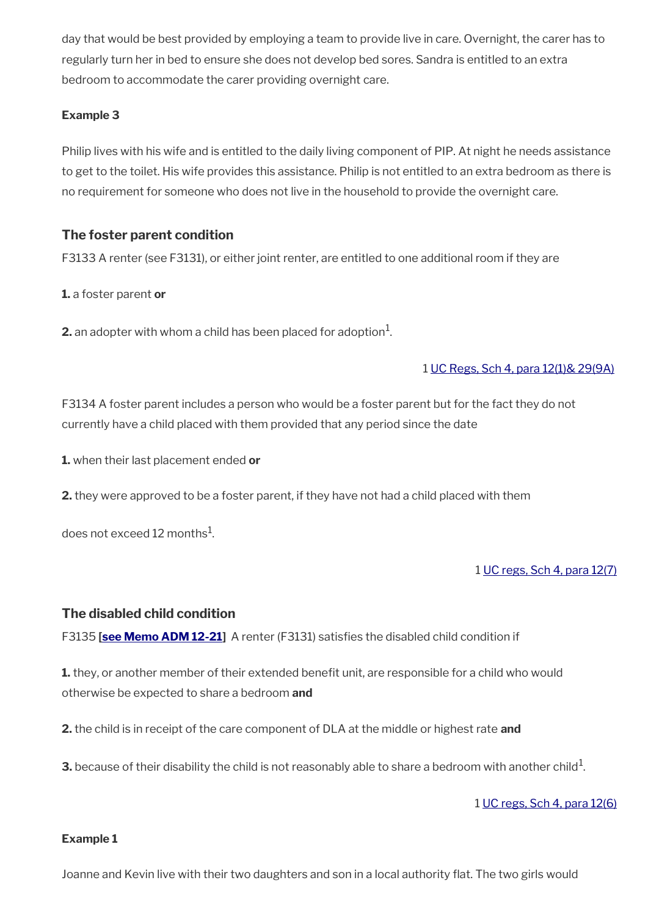day that would be best provided by employing a team to provide live in care. Overnight, the carer has to regularly turn her in bed to ensure she does not develop bed sores. Sandra is entitled to an extra bedroom to accommodate the carer providing overnight care.

## **Example 3**

Philip lives with his wife and is entitled to the daily living component of PIP. At night he needs assistance to get to the toilet. His wife provides this assistance. Philip is not entitled to an extra bedroom as there is no requirement for someone who does not live in the household to provide the overnight care.

## **The foster parent condition**

F3133 A renter (see F3131), or either joint renter, are entitled to one additional room if they are

**1.** a foster parent **or**

 $\mathbf 2$  an adopter with whom a child has been placed for adoption $^1$ .

## 1 [UC Regs, Sch 4, para 12\(1\)& 29\(9A\)](http://www.legislation.gov.uk/uksi/2013/376/schedule/4)

F3134 A foster parent includes a person who would be a foster parent but for the fact they do not currently have a child placed with them provided that any period since the date

**1.** when their last placement ended **or**

**2.** they were approved to be a foster parent, if they have not had a child placed with them

does not exceed 12 months $^{\rm 1}$ .

## 1 [UC regs, Sch 4, para 12\(7\)](http://www.legislation.gov.uk/uksi/2013/376/schedule/4)

## **The disabled child condition**

F3135 **[[see Memo ADM 12-21](https://intranet.dwp.gov.uk/manual/advice-decision-making-adm/12-21-disability-assistance-children-and-young-people-consequential-amendments-social-security)]** A renter (F3131) satisfes the disabled child condition if

**1.** they, or another member of their extended benefit unit, are responsible for a child who would otherwise be expected to share a bedroom **and**

**2.** the child is in receipt of the care component of DLA at the middle or highest rate **and**

 ${\bf 3}.$  because of their disability the child is not reasonably able to share a bedroom with another child $^1$ .

1 [UC regs, Sch 4, para 12\(6\)](http://www.legislation.gov.uk/uksi/2013/376/schedule/4)

## **Example 1**

Joanne and Kevin live with their two daughters and son in a local authority flat. The two girls would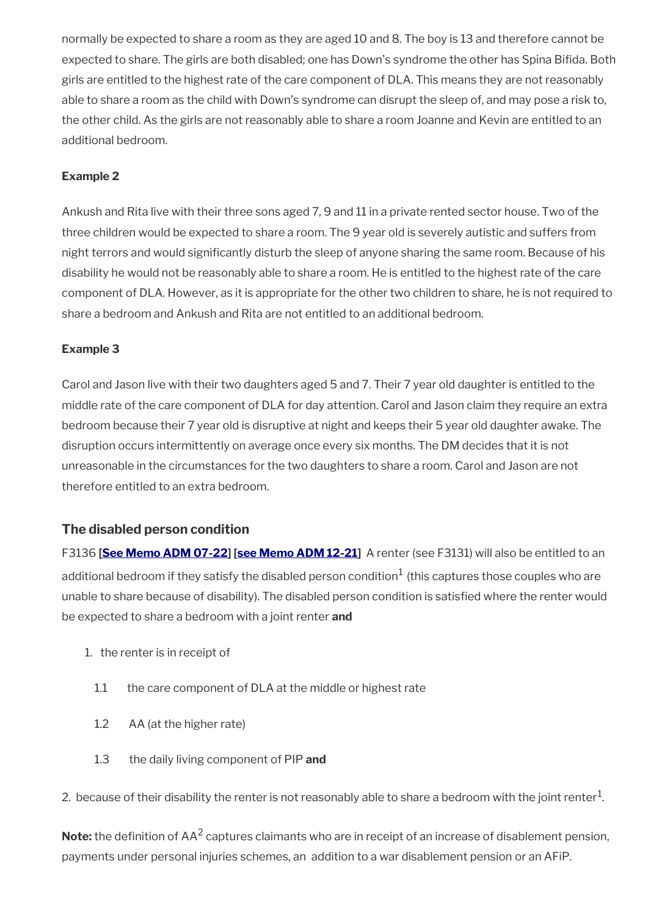normally be expected to share a room as they are aged 10 and 8. The boy is 13 and therefore cannot be expected to share. The girls are both disabled; one has Down's syndrome the other has Spina Bifda. Both girls are entitled to the highest rate of the care component of DLA. This means they are not reasonably able to share a room as the child with Down's syndrome can disrupt the sleep of, and may pose a risk to, the other child. As the girls are not reasonably able to share a room Joanne and Kevin are entitled to an additional bedroom.

## **Example 2**

Ankush and Rita live with their three sons aged 7, 9 and 11 in a private rented sector house. Two of the three children would be expected to share a room. The 9 year old is severely autistic and suffers from night terrors and would signifcantly disturb the sleep of anyone sharing the same room. Because of his disability he would not be reasonably able to share a room. He is entitled to the highest rate of the care component of DLA. However, as it is appropriate for the other two children to share, he is not required to share a bedroom and Ankush and Rita are not entitled to an additional bedroom.

## **Example 3**

Carol and Jason live with their two daughters aged 5 and 7. Their 7 year old daughter is entitled to the middle rate of the care component of DLA for day attention. Carol and Jason claim they require an extra bedroom because their 7 year old is disruptive at night and keeps their 5 year old daughter awake. The disruption occurs intermittently on average once every six months. The DM decides that it is not unreasonable in the circumstances for the two daughters to share a room. Carol and Jason are not therefore entitled to an extra bedroom.

## **The disabled person condition**

F3136 **[\[See Memo ADM 07-22](https://intranet.dwp.gov.uk/manual/advice-decision-making-adm/07-22-adult-disability-payment-uc-esa-ns-jsa-ns)] [\[see Memo ADM 12-21\]](https://intranet.dwp.gov.uk/manual/advice-decision-making-adm/12-21-disability-assistance-children-and-young-people-consequential-amendments-social-security)** A renter (see F3131) will also be entitled to an additional bedroom if they satisfy the disabled person condition $^1$  (this captures those couples who are unable to share because of disability). The disabled person condition is satisfed where the renter would be expected to share a bedroom with a joint renter **and** 

- 1. the renter is in receipt of
	- 1.1 the care component of DLA at the middle or highest rate
	- 1.2 AA (at the higher rate)
	- 1.3 the daily living component of PIP **and**
- 2. because of their disability the renter is not reasonably able to share a bedroom with the joint renter $^1$ .

**Note:** the definition of AA<sup>2</sup> captures claimants who are in receipt of an increase of disablement pension, payments under personal injuries schemes, an addition to a war disablement pension or an AFiP.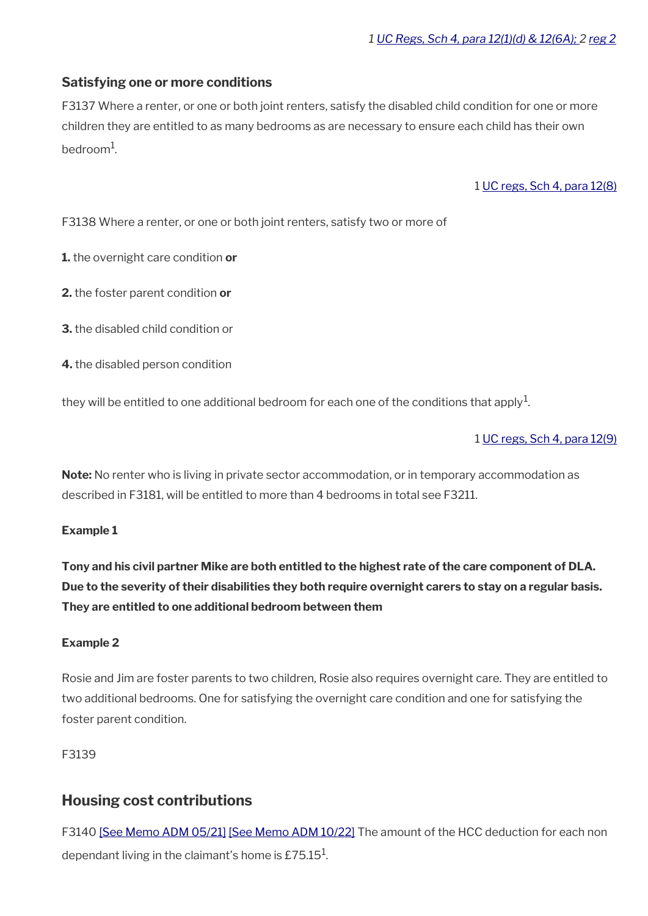## **Satisfying one or more conditions**

F3137 Where a renter, or one or both joint renters, satisfy the disabled child condition for one or more children they are entitled to as many bedrooms as are necessary to ensure each child has their own bedroom<sup>1</sup>.

1 [UC regs, Sch 4, para 12\(8\)](http://www.legislation.gov.uk/uksi/2013/376/schedule/4)

F3138 Where a renter, or one or both joint renters, satisfy two or more of

**1.** the overnight care condition **or**

- **2.** the foster parent condition **or**
- **3.** the disabled child condition or
- **4.** the disabled person condition

they will be entitled to one additional bedroom for each one of the conditions that apply $^{\mathrm{1}}$ .

1 [UC regs, Sch 4, para 12\(9\)](http://www.legislation.gov.uk/uksi/2013/376/schedule/4)

**Note:** No renter who is living in private sector accommodation, or in temporary accommodation as described in F3181, will be entitled to more than 4 bedrooms in total see F3211.

## **Example 1**

**Tony and his civil partner Mike are both entitled to the highest rate of the care component of DLA. Due to the severity of their disabilities they both require overnight carers to stay on a regular basis. They are entitled to one additional bedroom between them**

## **Example 2**

Rosie and Jim are foster parents to two children, Rosie also requires overnight care. They are entitled to two additional bedrooms. One for satisfying the overnight care condition and one for satisfying the foster parent condition.

F3139

## <span id="page-22-0"></span>**Housing cost contributions**

F3140 [\[See Memo ADM 05/21\]](https://intranet.dwp.gov.uk/manual/advice-decision-making-adm/0521-rates-income-tax-uc-benefit-rates-and-social-security-contributions-april-2021) [\[See Memo ADM 10/22\]](https://intranet.dwp.gov.uk/manual/advice-decision-making-adm/10-22-rates-income-tax-uc-benefit-rates-and-social-security-contributions-april-2022) The amount of the HCC deduction for each non dependant living in the claimant's home is £75.15 $^{\rm 1}$ .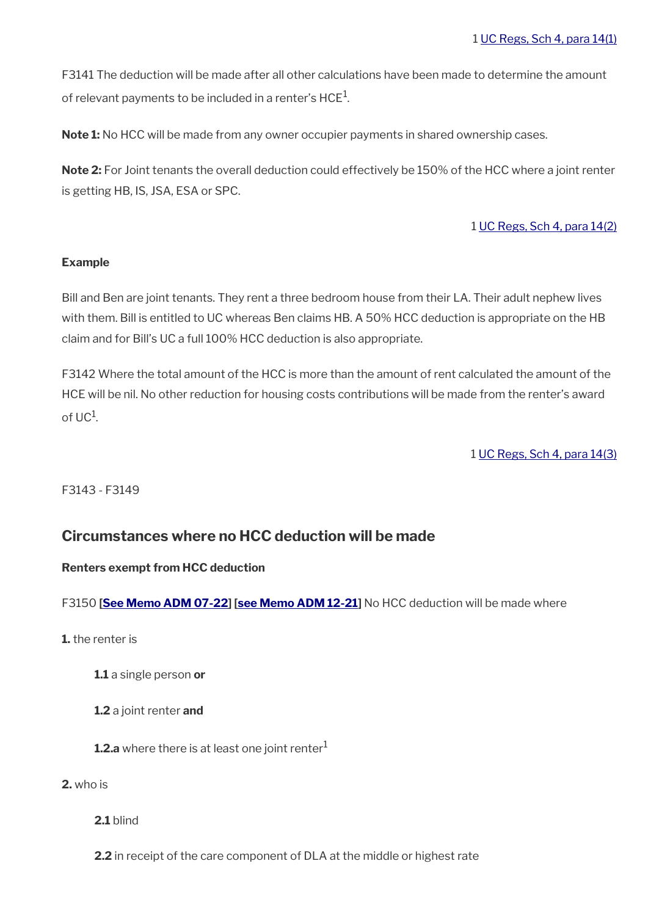F3141 The deduction will be made after all other calculations have been made to determine the amount of relevant payments to be included in a renter's HCE $^{\rm 1}$ .

**Note 1:** No HCC will be made from any owner occupier payments in shared ownership cases.

**Note 2:** For Joint tenants the overall deduction could effectively be 150% of the HCC where a joint renter is getting HB, IS, JSA, ESA or SPC.

## 1 [UC Regs, Sch 4, para 14\(2\)](http://www.legislation.gov.uk/uksi/2013/376/schedule/4)

## **Example**

Bill and Ben are joint tenants. They rent a three bedroom house from their LA. Their adult nephew lives with them. Bill is entitled to UC whereas Ben claims HB. A 50% HCC deduction is appropriate on the HB claim and for Bill's UC a full 100% HCC deduction is also appropriate.

F3142 Where the total amount of the HCC is more than the amount of rent calculated the amount of the HCE will be nil. No other reduction for housing costs contributions will be made from the renter's award of UC<sup>1</sup>.

1 [UC Regs, Sch 4, para 14\(3\)](http://www.legislation.gov.uk/uksi/2013/376/schedule/4)

F3143 - F3149

## <span id="page-23-0"></span>**Circumstances where no HCC deduction will be made**

## **Renters exempt from HCC deduction**

F3150 [\[See Memo ADM 07-22\]](https://intranet.dwp.gov.uk/manual/advice-decision-making-adm/07-22-adult-disability-payment-uc-esa-ns-jsa-ns) [\[see Memo ADM 12-21](https://intranet.dwp.gov.uk/manual/advice-decision-making-adm/12-21-disability-assistance-children-and-young-people-consequential-amendments-social-security)] No HCC deduction will be made where

- **1.** the renter is
	- **1.1** a single person **or**
	- **1.2** a joint renter **and**
	- **1.2.a** where there is at least one joint renter<sup>1</sup>

**2.** who is

**2.1** blind

**2.2** in receipt of the care component of DLA at the middle or highest rate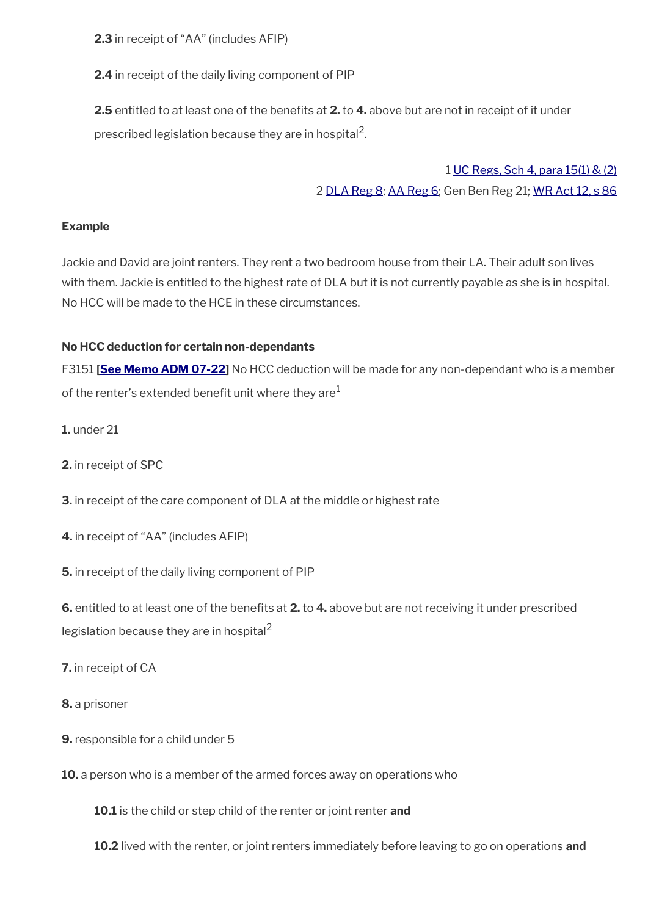**2.3** in receipt of "AA" (includes AFIP)

**2.4** in receipt of the daily living component of PIP

**2.5** entitled to at least one of the benefits at **2.** to **4.** above but are not in receipt of it under prescribed legislation because they are in hospital<sup>2</sup>.

> 1 [UC Regs, Sch 4, para 15\(1\) & \(2\)](http://www.legislation.gov.uk/uksi/2013/376/schedule/4) 2 [DLA Reg 8](http://www.legislation.gov.uk/uksi/1991/2890/regulation/8); [AA Reg 6](http://www.legislation.gov.uk/uksi/1991/2740/regulation/6); Gen Ben Reg 21; [WR Act 12, s 86](http://www.legislation.gov.uk/ukpga/2012/5/section/86)

## **Example**

Jackie and David are joint renters. They rent a two bedroom house from their LA. Their adult son lives with them. Jackie is entitled to the highest rate of DLA but it is not currently payable as she is in hospital. No HCC will be made to the HCE in these circumstances.

## **No HCC deduction for certain non-dependants**

F3151 **[\[See Memo ADM 07-22](https://intranet.dwp.gov.uk/manual/advice-decision-making-adm/07-22-adult-disability-payment-uc-esa-ns-jsa-ns)]** No HCC deduction will be made for any non-dependant who is a member of the renter's extended benefit unit where they are<sup>1</sup>

- **1.** under 21
- **2.** in receipt of SPC
- **3.** in receipt of the care component of DLA at the middle or highest rate
- **4.** in receipt of "AA" (includes AFIP)
- **5.** in receipt of the daily living component of PIP

**6.** entitled to at least one of the benefts at **2.** to **4.** above but are not receiving it under prescribed legislation because they are in hospital<sup>2</sup>

- **7.** in receipt of CA
- **8.** a prisoner
- **9.** responsible for a child under 5
- **10.** a person who is a member of the armed forces away on operations who

**10.1** is the child or step child of the renter or joint renter **and**

**10.2** lived with the renter, or joint renters immediately before leaving to go on operations **and**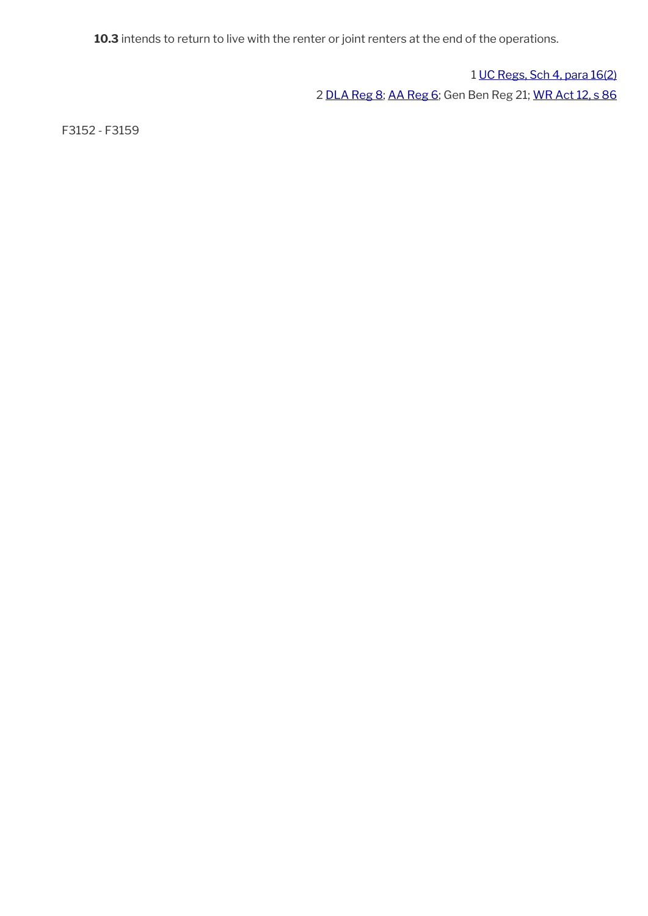**10.3** intends to return to live with the renter or joint renters at the end of the operations.

1 [UC Regs, Sch 4, para 16\(2\)](http://www.legislation.gov.uk/uksi/2013/376/schedule/4) 2 [DLA Reg 8](http://www.legislation.gov.uk/uksi/1991/2890/regulation/8); [AA Reg 6](http://www.legislation.gov.uk/uksi/1991/2740/regulation/6); Gen Ben Reg 21; [WR Act 12, s 86](http://www.legislation.gov.uk/ukpga/2012/5/section/86)

F3152 - F3159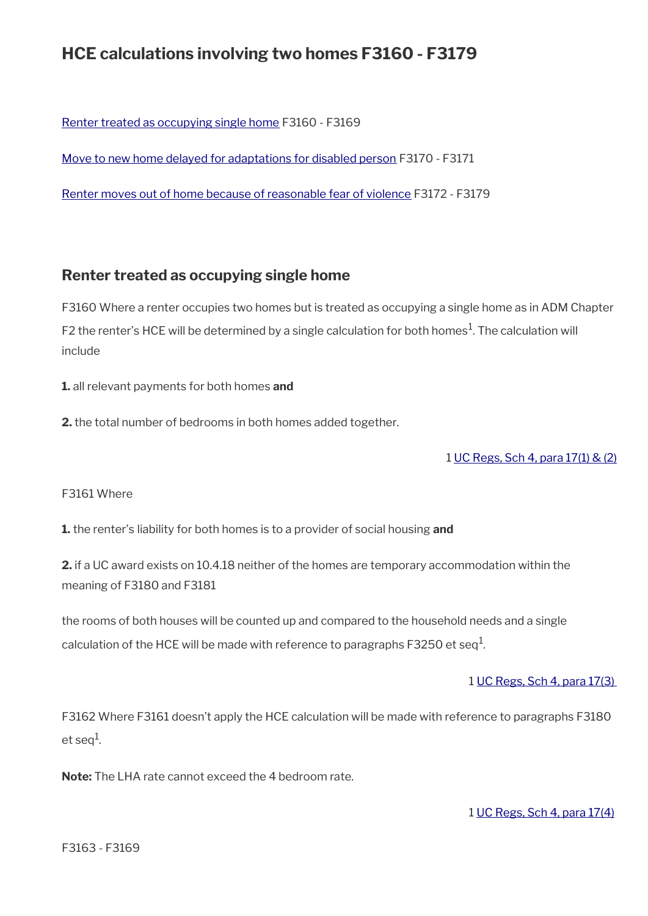# **HCE calculations involving two homes F3160 - F3179**

[Renter treated as occupying single home](#page-26-0) F3160 - F3169

[Move to new home delayed for adaptations for disabled person](#page-27-1) F3170 - F3171

[Renter moves out of home because of reasonable fear of violence](#page-27-0) F3172 - F3179

## <span id="page-26-0"></span>**Renter treated as occupying single home**

F3160 Where a renter occupies two homes but is treated as occupying a single home as in ADM Chapter F2 the renter's HCE will be determined by a single calculation for both homes<sup>1</sup>. The calculation will include

**1.** all relevant payments for both homes **and**

**2.** the total number of bedrooms in both homes added together.

1 [UC Regs, Sch 4, para 17\(1\) & \(2\)](http://www.legislation.gov.uk/uksi/2013/376/schedule/4)

## F3161 Where

**1.** the renter's liability for both homes is to a provider of social housing **and** 

**2.** if a UC award exists on 10.4.18 neither of the homes are temporary accommodation within the meaning of F3180 and F3181

the rooms of both houses will be counted up and compared to the household needs and a single calculation of the HCE will be made with reference to paragraphs F3250 et seq $^1\!$ 

## 1 [UC Regs, Sch 4, para 17\(3\)](http://www.legislation.gov.uk/uksi/2013/376/schedule/4)

F3162 Where F3161 doesn't apply the HCE calculation will be made with reference to paragraphs F3180 et seq $^1$ .

**Note:** The LHA rate cannot exceed the 4 bedroom rate.

1 [UC Regs, Sch 4, para 17\(4\)](http://www.legislation.gov.uk/uksi/2013/376/schedule/4)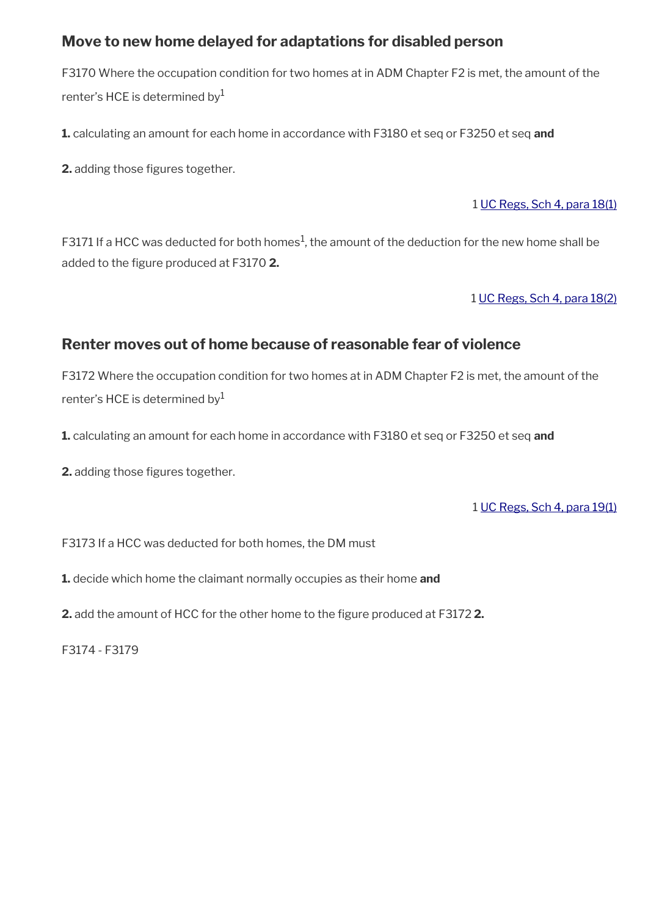# <span id="page-27-1"></span>**Move to new home delayed for adaptations for disabled person**

F3170 Where the occupation condition for two homes at in ADM Chapter F2 is met, the amount of the renter's HCE is determined by $<sup>1</sup>$ </sup>

**1.** calculating an amount for each home in accordance with F3180 et seq or F3250 et seq **and**

**2.** adding those figures together.

## 1 [UC Regs, Sch 4, para 18\(1\)](http://www.legislation.gov.uk/uksi/2013/376/schedule/4)

F3171 If a HCC was deducted for both homes $^1$ , the amount of the deduction for the new home shall be added to the fgure produced at F3170 **2.**

## 1 [UC Regs, Sch 4, para 18\(2\)](http://www.legislation.gov.uk/uksi/2013/376/schedule/4)

# <span id="page-27-0"></span>**Renter moves out of home because of reasonable fear of violence**

F3172 Where the occupation condition for two homes at in ADM Chapter F2 is met, the amount of the renter's HCE is determined by $<sup>1</sup>$ </sup>

**1.** calculating an amount for each home in accordance with F3180 et seq or F3250 et seq **and**

**2.** adding those figures together.

## 1 [UC Regs, Sch 4, para 19\(1\)](http://www.legislation.gov.uk/uksi/2013/376/schedule/4)

F3173 If a HCC was deducted for both homes, the DM must

**1.** decide which home the claimant normally occupies as their home **and**

**2.** add the amount of HCC for the other home to the figure produced at F31722.

F3174 - F3179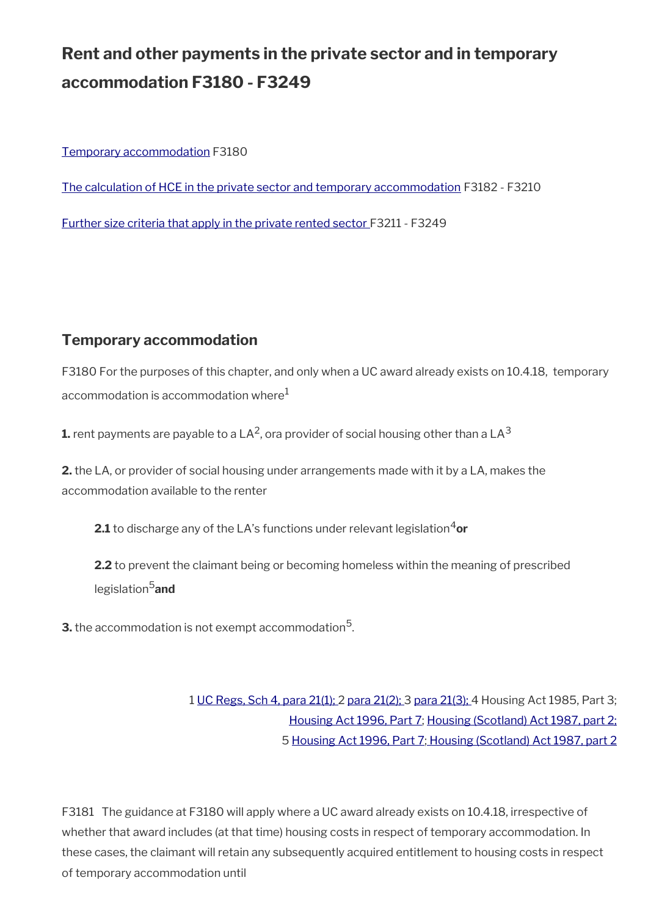# **Rent and other payments in the private sector and in temporary accommodation F3180 - F3249**

[Temporary accommodation](#page-28-0) F3180

[The calculation of HCE in the private sector and temporary accommodation](#page-30-0) F3182 - F3210

[Further size criteria that apply in the private rented sector F](#page-34-0)3211 - F3249

# <span id="page-28-0"></span>**Temporary accommodation**

F3180 For the purposes of this chapter, and only when a UC award already exists on 10.4.18, temporary accommodation is accommodation where $<sup>1</sup>$ </sup>

**1.** rent payments are payable to a LA<sup>2</sup>, ora provider of social housing other than a LA $^3$ 

**2.** the LA, or provider of social housing under arrangements made with it by a LA, makes the accommodation available to the renter

**2.1** to discharge any of the LA's functions under relevant legislation<sup>4</sup>or

**2.2** to prevent the claimant being or becoming homeless within the meaning of prescribed legislation5**and**

**3.** the accommodation is not exempt accommodation $^5$ .

1 [UC Regs, Sch 4, para 21\(1\); 2 para 21\(2\);](http://www.legislation.gov.uk/uksi/2013/376/schedule/4) 3 [para 21\(3\);](http://www.legislation.gov.uk/uksi/2013/376/schedule/4) 4 Housing Act 1985, Part 3; [Housing Act 1996, Part 7;](http://www.legislation.gov.uk/ukpga/1996/52/part/VII) [Housing \(Scotland\) Act 1987, part 2;](http://www.legislation.gov.uk/ukpga/1987/26/part/II) 5 [Housing Act 1996, Part 7](http://www.legislation.gov.uk/ukpga/1996/52/part/VII)[; Housing \(Scotland\) Act 1987, part 2](http://www.legislation.gov.uk/ukpga/1987/26/part/II)

F3181 The guidance at F3180 will apply where a UC award already exists on 10.4.18, irrespective of whether that award includes (at that time) housing costs in respect of temporary accommodation. In these cases, the claimant will retain any subsequently acquired entitlement to housing costs in respect of temporary accommodation until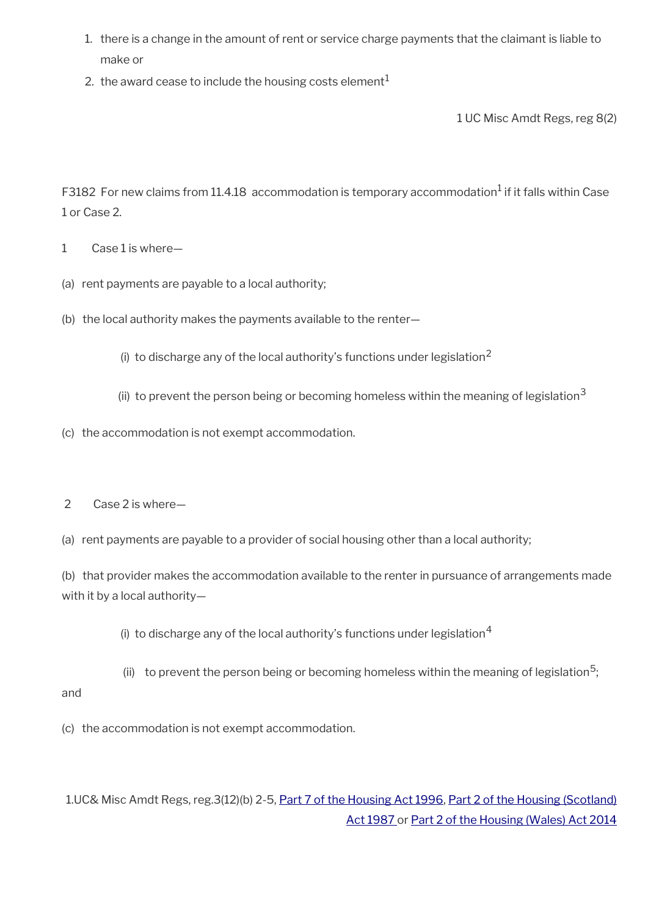- 1. there is a change in the amount of rent or service charge payments that the claimant is liable to make or
- 2. the award cease to include the housing costs element $<sup>1</sup>$ </sup>

1 UC Misc Amdt Regs, reg 8(2)

F3182 For new claims from 11.4.18 accommodation is temporary accommodation<sup>1</sup> if it falls within Case 1 or Case 2.

- 1 Case 1 is where—
- (a) rent payments are payable to a local authority;
- (b) the local authority makes the payments available to the renter—
	- (i) to discharge any of the local authority's functions under legislation<sup>2</sup>
	- (ii) to prevent the person being or becoming homeless within the meaning of legislation<sup>3</sup>
- (c) the accommodation is not exempt accommodation.
- 2 Case 2 is where—
- (a) rent payments are payable to a provider of social housing other than a local authority;

(b) that provider makes the accommodation available to the renter in pursuance of arrangements made with it by a local authority—

(i) to discharge any of the local authority's functions under legislation<sup>4</sup>

(ii) to prevent the person being or becoming homeless within the meaning of legislation<sup>5</sup>; and

(c) the accommodation is not exempt accommodation.

1.UC& Misc Amdt Regs, reg.3(12)(b) 2-5, [Part 7 of the Housing Act 1996](http://www.legislation.gov.uk/ukpga/1996/52/part/VII), [Part 2 of the Housing \(Scotland\)](http://www.legislation.gov.uk/ukpga/1987/26/part/II) [Act 1987](http://www.legislation.gov.uk/ukpga/1987/26/part/II) or [Part 2 of the Housing \(Wales\) Act 2014](http://www.legislation.gov.uk/anaw/2014/7/part/2)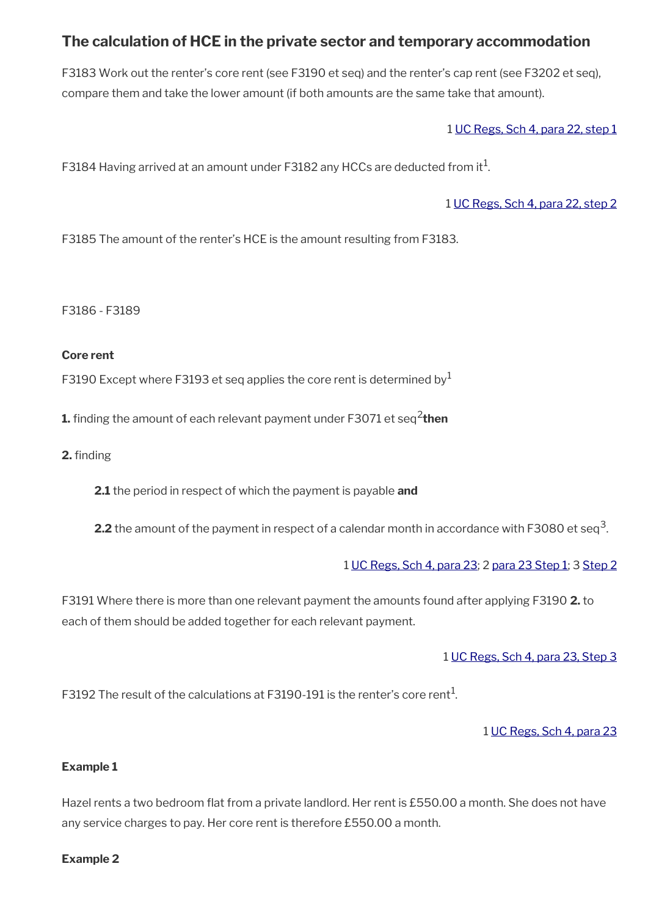# <span id="page-30-0"></span>**The calculation of HCE in the private sector and temporary accommodation**

F3183 Work out the renter's core rent (see F3190 et seq) and the renter's cap rent (see F3202 et seq), compare them and take the lower amount (if both amounts are the same take that amount).

1 [UC Regs, Sch 4, para 22, step 1](http://www.legislation.gov.uk/uksi/2013/376/schedule/4)

<code>F3184</code> Having arrived at an amount under <code>F3182</code> any <code>HCCs</code> are deducted from it $^1$ .

1 [UC Regs, Sch 4, para 22, step 2](http://www.legislation.gov.uk/uksi/2013/376/schedule/4)

F3185 The amount of the renter's HCE is the amount resulting from F3183.

F3186 - F3189

## **Core rent**

F3190 Except where F3193 et seq applies the core rent is determined by  $1$ 

**1.** finding the amount of each relevant payment under F3071 et seq<sup>2</sup>then

**2.** finding

**2.1** the period in respect of which the payment is payable **and**

**2.2** the amount of the payment in respect of a calendar month in accordance with F3080 et seq<sup>3</sup>.

## 1 [UC Regs, Sch 4, para 23;](http://www.legislation.gov.uk/uksi/2013/376/schedule/4) 2 [para 23 Step 1;](http://www.legislation.gov.uk/uksi/2013/376/schedule/4) 3 [Step 2](http://www.legislation.gov.uk/uksi/2013/376/schedule/4)

F3191 Where there is more than one relevant payment the amounts found after applying F3190 **2.** to each of them should be added together for each relevant payment.

## 1 [UC Regs, Sch 4, para 23, Step 3](http://www.legislation.gov.uk/uksi/2013/376/schedule/4)

<code>F3192</code> The result of the calculations at <code>F3190-191</code> is the renter's core rent $^{\rm 1.}$ 

## 1 [UC Regs, Sch 4, para 23](http://www.legislation.gov.uk/uksi/2013/376/schedule/4)

## **Example 1**

Hazel rents a two bedroom flat from a private landlord. Her rent is £550.00 a month. She does not have any service charges to pay. Her core rent is therefore £550.00 a month.

## **Example 2**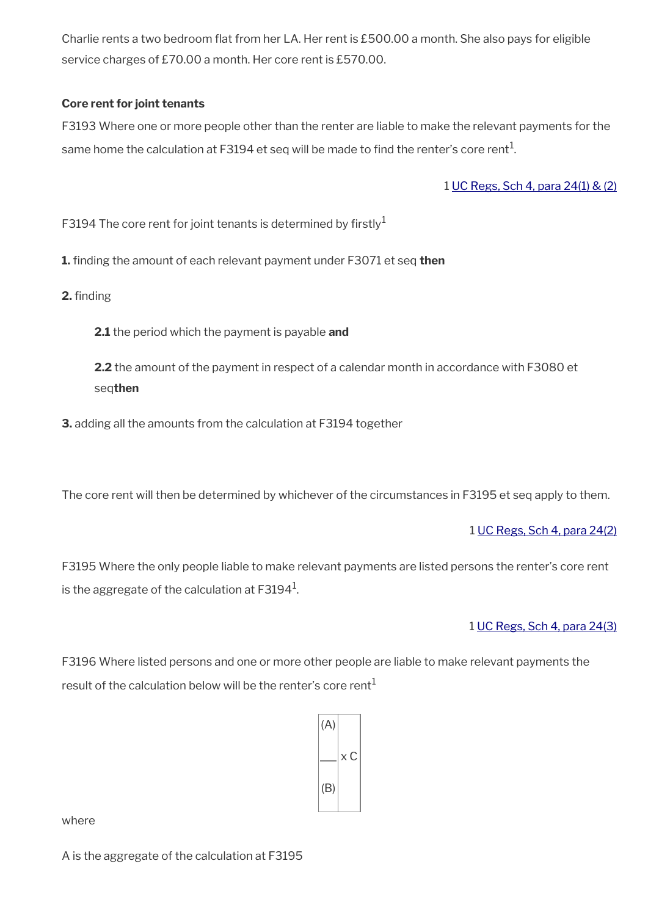Charlie rents a two bedroom flat from her LA. Her rent is £500.00 a month. She also pays for eligible service charges of £70.00 a month. Her core rent is £570.00.

## **Core rent for joint tenants**

F3193 Where one or more people other than the renter are liable to make the relevant payments for the same home the calculation at F3194 et seq will be made to find the renter's core rent $^{\rm 1.}$ 

1 [UC Regs, Sch 4, para 24\(1\) & \(2\)](http://www.legislation.gov.uk/uksi/2013/376/schedule/4)

F3194 The core rent for joint tenants is determined by firstly<sup>1</sup>

**1.** fnding the amount of each relevant payment under F3071 et seq **then**

**2.** finding

**2.1** the period which the payment is payable **and**

**2.2** the amount of the payment in respect of a calendar month in accordance with F3080 et seq**then**

**3.** adding all the amounts from the calculation at F3194 together

The core rent will then be determined by whichever of the circumstances in F3195 et seq apply to them.

1 [UC Regs, Sch 4, para 24\(2\)](http://www.legislation.gov.uk/uksi/2013/376/schedule/4)

F3195 Where the only people liable to make relevant payments are listed persons the renter's core rent is the aggregate of the calculation at F3194 $^{\rm 1}$ .

1 [UC Regs, Sch 4, para 24\(3\)](http://www.legislation.gov.uk/uksi/2013/376/schedule/4)

F3196 Where listed persons and one or more other people are liable to make relevant payments the result of the calculation below will be the renter's core rent<sup>1</sup>



where

A is the aggregate of the calculation at F3195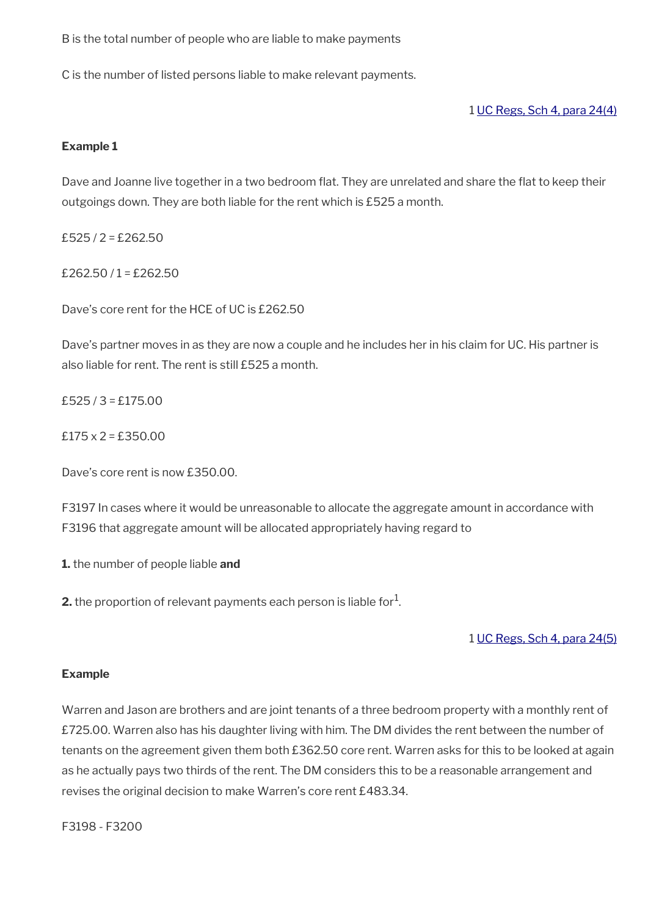B is the total number of people who are liable to make payments

C is the number of listed persons liable to make relevant payments.

1 [UC Regs, Sch 4, para 24\(4\)](http://www.legislation.gov.uk/uksi/2013/376/schedule/4)

## **Example 1**

Dave and Joanne live together in a two bedroom flat. They are unrelated and share the flat to keep their outgoings down. They are both liable for the rent which is £525 a month.

 $£525/2 = £262.50$ 

£262.50 /  $1 = £262.50$ 

Dave's core rent for the HCE of UC is £262.50

Dave's partner moves in as they are now a couple and he includes her in his claim for UC. His partner is also liable for rent. The rent is still £525 a month.

 $£525/3 = £175.00$ 

 $£175 \times 2 = £350.00$ 

Dave's core rent is now £350.00.

F3197 In cases where it would be unreasonable to allocate the aggregate amount in accordance with F3196 that aggregate amount will be allocated appropriately having regard to

**1.** the number of people liable **and**

**2.** the proportion of relevant payments each person is liable for $^1$ .

1 [UC Regs, Sch 4, para 24\(5\)](http://www.legislation.gov.uk/uksi/2013/376/schedule/4)

## **Example**

Warren and Jason are brothers and are joint tenants of a three bedroom property with a monthly rent of £725.00. Warren also has his daughter living with him. The DM divides the rent between the number of tenants on the agreement given them both £362.50 core rent. Warren asks for this to be looked at again as he actually pays two thirds of the rent. The DM considers this to be a reasonable arrangement and revises the original decision to make Warren's core rent £483.34.

F3198 - F3200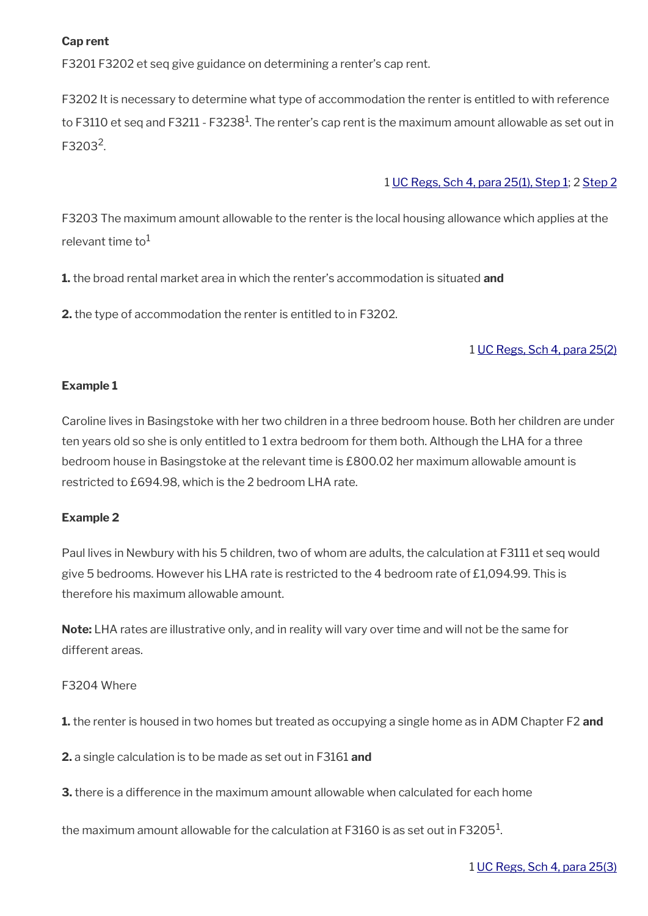## **Cap rent**

F3201 F3202 et seq give guidance on determining a renter's cap rent.

F3202 It is necessary to determine what type of accommodation the renter is entitled to with reference to F3110 et seq and F3211 - F3238 $^{\rm 1}$ . The renter's cap rent is the maximum amount allowable as set out in F3203<sup>2</sup>.

## 1 [UC Regs, Sch 4, para 25\(1\), Step 1](http://www.legislation.gov.uk/uksi/2013/376/schedule/4); 2 [Step 2](http://www.legislation.gov.uk/uksi/2013/376/schedule/4)

F3203 The maximum amount allowable to the renter is the local housing allowance which applies at the relevant time to<sup>1</sup>

**1.** the broad rental market area in which the renter's accommodation is situated **and**

**2.** the type of accommodation the renter is entitled to in F3202.

## 1 [UC Regs, Sch 4, para 25\(2\)](http://www.legislation.gov.uk/uksi/2013/376/schedule/4)

## **Example 1**

Caroline lives in Basingstoke with her two children in a three bedroom house. Both her children are under ten years old so she is only entitled to 1 extra bedroom for them both. Although the LHA for a three bedroom house in Basingstoke at the relevant time is £800.02 her maximum allowable amount is restricted to £694.98, which is the 2 bedroom LHA rate.

## **Example 2**

Paul lives in Newbury with his 5 children, two of whom are adults, the calculation at F3111 et seq would give 5 bedrooms. However his LHA rate is restricted to the 4 bedroom rate of £1,094.99. This is therefore his maximum allowable amount.

**Note:** LHA rates are illustrative only, and in reality will vary over time and will not be the same for different areas.

## F3204 Where

**1.** the renter is housed in two homes but treated as occupying a single home as in ADM Chapter F2 **and**

**2.** a single calculation is to be made as set out in F3161 **and**

**3.** there is a difference in the maximum amount allowable when calculated for each home

the maximum amount allowable for the calculation at F3160 is as set out in F3205 $^{\rm 1}$ .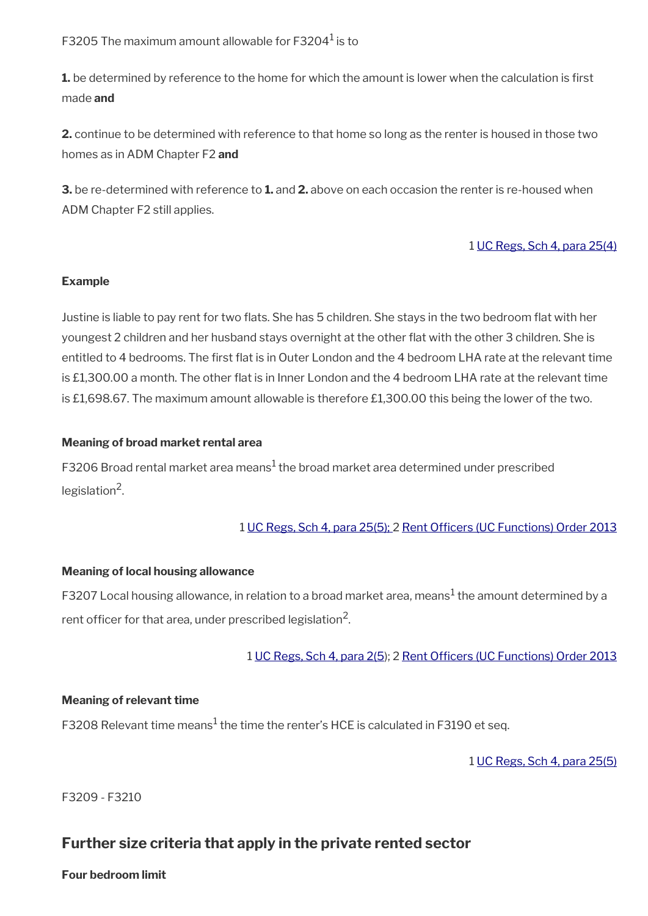F3205 The maximum amount allowable for F3204 $^{\rm 1}$  is to

**1.** be determined by reference to the home for which the amount is lower when the calculation is first made **and**

**2.** continue to be determined with reference to that home so long as the renter is housed in those two homes as in ADM Chapter F2 **and**

**3.** be re-determined with reference to **1.** and **2.** above on each occasion the renter is re-housed when ADM Chapter F2 still applies.

## 1 [UC Regs, Sch 4, para 25\(4\)](http://www.legislation.gov.uk/uksi/2013/376/schedule/4)

## **Example**

Justine is liable to pay rent for two fats. She has 5 children. She stays in the two bedroom fat with her youngest 2 children and her husband stays overnight at the other fat with the other 3 children. She is entitled to 4 bedrooms. The frst fat is in Outer London and the 4 bedroom LHA rate at the relevant time is £1,300.00 a month. The other fat is in Inner London and the 4 bedroom LHA rate at the relevant time is £1,698.67. The maximum amount allowable is therefore £1,300.00 this being the lower of the two.

## **Meaning of broad market rental area**

F3206 Broad rental market area means $^1$  the broad market area determined under prescribed legislation<sup>2</sup>.

## 1 [UC Regs, Sch 4, para 25\(5\); 2](http://www.legislation.gov.uk/uksi/2013/376/schedule/4) Rent Officers (UC Functions) Order 2013

## **Meaning of local housing allowance**

F3207 Local housing allowance, in relation to a broad market area, means $^1$  the amount determined by a rent officer for that area, under prescribed legislation $^2$ .

## 1 [UC Regs, Sch 4, para 2\(5](http://www.legislation.gov.uk/uksi/2013/376/schedule/4)); 2 Rent Officers (UC Functions) Order 2013

## **Meaning of relevant time**

F3208 Relevant time means $^1$  the time the renter's HCE is calculated in F3190 et seq.

1 [UC Regs, Sch 4, para 25\(5\)](http://www.legislation.gov.uk/uksi/2013/376/schedule/4)

F3209 - F3210

# <span id="page-34-0"></span>**Further size criteria that apply in the private rented sector**

## **Four bedroom limit**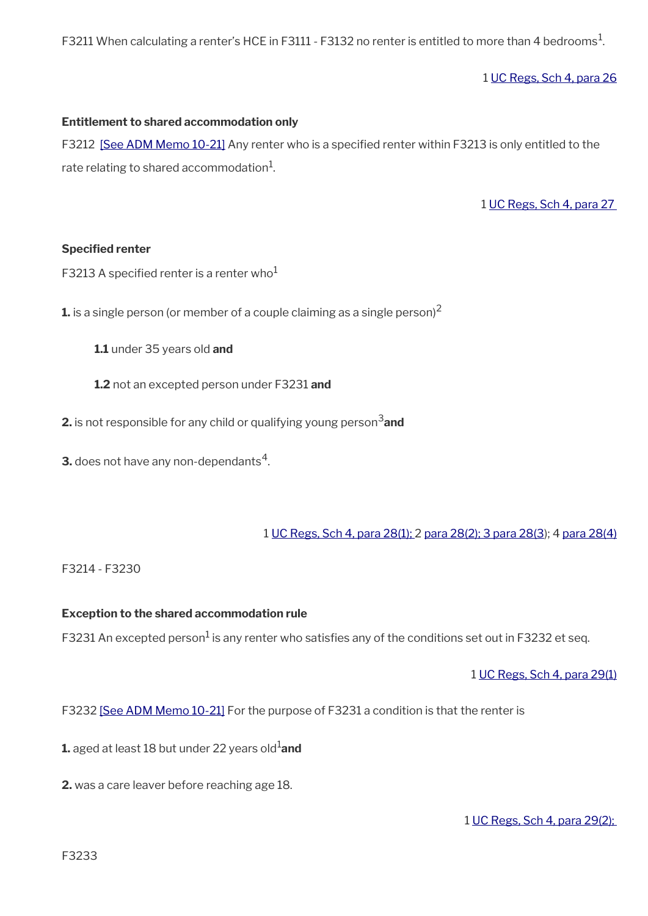<code>F3211</code> When calculating a renter's HCE in <code>F3111</code> - <code>F3132</code> no renter is entitled to more than 4 bedrooms $^{\rm 1}$ .

1 [UC Regs, Sch 4, para 26](http://www.legislation.gov.uk/uksi/2013/376/schedule/4)

#### **Entitlement to shared accommodation only**

F3212 [\[See ADM Memo 10-21\]](https://intranet.dwp.gov.uk/manual/advice-decision-making-adm/10-21-changes-exceptions-shared-accommodation-rate) Any renter who is a specified renter within F3213 is only entitled to the rate relating to shared accommodation $^1\!\!$ 

1 [UC Regs, Sch 4, para 27](http://www.legislation.gov.uk/uksi/2013/376/schedule/4) 

#### **Specified renter**

F3213 A specified renter is a renter who<sup>1</sup>

**1.** is a single person (or member of a couple claiming as a single person)<sup>2</sup>

**1.1** under 35 years old **and**

**1.2** not an excepted person under F3231 **and**

**2.** is not responsible for any child or qualifying young person<sup>3</sup> and

**3.** does not have any non-dependants $^4$ .

1 [UC Regs, Sch 4, para 28\(1\);](http://www.legislation.gov.uk/uksi/2013/376/schedule/4) 2 [para 28\(2\); 3 para 28\(3](http://www.legislation.gov.uk/uksi/2013/376/schedule/4)); 4 [para 28\(4\)](http://www.legislation.gov.uk/uksi/2013/376/schedule/4)

#### F3214 - F3230

#### **Exception to the shared accommodation rule**

F3231 An excepted person $^1$  is any renter who satisfies any of the conditions set out in F3232 et seq.

1 [UC Regs, Sch 4, para 29\(1\)](http://www.legislation.gov.uk/uksi/2013/376/schedule/4)

F3232 [\[See ADM Memo 10-21\]](https://intranet.dwp.gov.uk/manual/advice-decision-making-adm/10-21-changes-exceptions-shared-accommodation-rate) For the purpose of F3231 a condition is that the renter is

- **1.** aged at least 18 but under 22 years old<sup>1</sup>and
- **2.** was a care leaver before reaching age 18.

1 [UC Regs, Sch 4, para 29\(2\);](http://www.legislation.gov.uk/uksi/2013/376/schedule/4)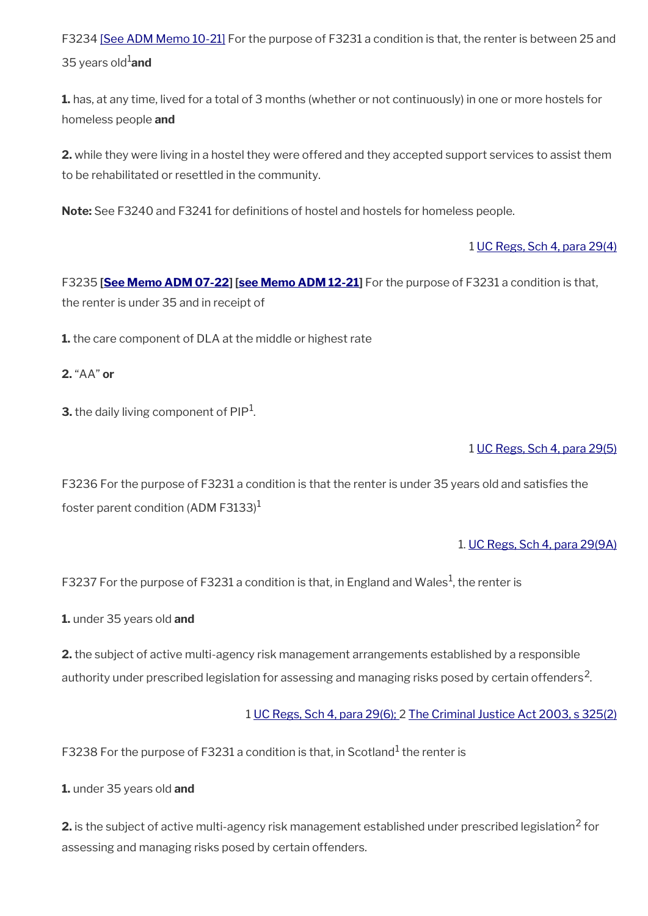F3234 [\[See ADM Memo 10-21\]](https://intranet.dwp.gov.uk/manual/advice-decision-making-adm/10-21-changes-exceptions-shared-accommodation-rate) For the purpose of F3231 a condition is that, the renter is between 25 and 35 years old<sup>1</sup>and

**1.** has, at any time, lived for a total of 3 months (whether or not continuously) in one or more hostels for homeless people **and**

**2.** while they were living in a hostel they were offered and they accepted support services to assist them to be rehabilitated or resettled in the community.

Note: See F3240 and F3241 for definitions of hostel and hostels for homeless people.

## 1 [UC Regs, Sch 4, para 29\(4\)](http://www.legislation.gov.uk/uksi/2013/376/schedule/4)

F3235 **[\[See Memo ADM 07-22\]](https://intranet.dwp.gov.uk/manual/advice-decision-making-adm/07-22-adult-disability-payment-uc-esa-ns-jsa-ns) [\[see Memo ADM 12-21](https://intranet.dwp.gov.uk/manual/advice-decision-making-adm/12-21-disability-assistance-children-and-young-people-consequential-amendments-social-security)]** For the purpose of F3231 a condition is that, the renter is under 35 and in receipt of

**1.** the care component of DLA at the middle or highest rate

**2.** "AA" **or**

**3.** the daily living component of  $\mathsf{PIP}^1$ .

## 1 [UC Regs, Sch 4, para 29\(5\)](http://www.legislation.gov.uk/uksi/2013/376/schedule/4)

F3236 For the purpose of F3231 a condition is that the renter is under 35 years old and satisfes the foster parent condition (ADM F3133)<sup>1</sup>

1. [UC Regs, Sch 4, para 29\(9A\)](http://www.legislation.gov.uk/uksi/2013/376/schedule/4)

F3237 For the purpose of F3231 a condition is that, in England and Wales $^{\rm 1}$ , the renter is

**1.** under 35 years old **and**

**2.** the subject of active multi-agency risk management arrangements established by a responsible authority under prescribed legislation for assessing and managing risks posed by certain offenders<sup>2</sup>.

1 [UC Regs, Sch 4, para 29\(6\); 2](http://www.legislation.gov.uk/uksi/2013/376/schedule/4) [The Criminal Justice Act 2003, s 325\(2\)](http://www.legislation.gov.uk/ukpga/2003/44/section/325)

F3238 For the purpose of F3231 a condition is that, in Scotland $^{\rm 1}$  the renter is

**1.** under 35 years old **and**

 $\mathsf 2.$  is the subject of active multi-agency risk management established under prescribed legislation $^2$  for assessing and managing risks posed by certain offenders.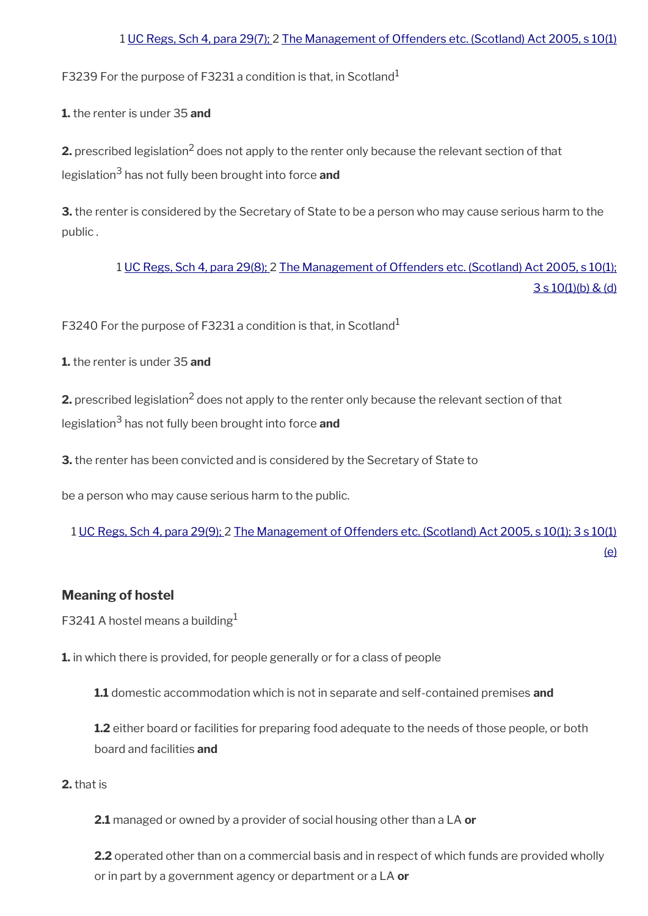## 1 [UC Regs, Sch 4, para 29\(7\);](http://www.legislation.gov.uk/uksi/2013/376/schedule/4) 2 [The Management of Offenders etc. \(Scotland\) Act 2005, s 10\(1\)](http://www.legislation.gov.uk/asp/2005/14/section/10)

F3239 For the purpose of F3231 a condition is that, in Scotland<sup>1</sup>

**1.** the renter is under 35 **and**

**2.** prescribed legislation<sup>2</sup> does not apply to the renter only because the relevant section of that legislation<sup>3</sup> has not fully been brought into force **and**

**3.** the renter is considered by the Secretary of State to be a person who may cause serious harm to the public .

> 1 [UC Regs, Sch 4, para 29\(8\);](http://www.legislation.gov.uk/uksi/2013/376/schedule/4) 2 [The Management of Offenders etc. \(Scotland\) Act 2005, s 10\(1\);](http://www.legislation.gov.uk/asp/2005/14/section/10)  $3 s 10(1)(b) & (d)$

F3240 For the purpose of F3231 a condition is that, in Scotland<sup>1</sup>

**1.** the renter is under 35 **and**

**2.** prescribed legislation<sup>2</sup> does not apply to the renter only because the relevant section of that legislation<sup>3</sup> has not fully been brought into force **and**

**3.** the renter has been convicted and is considered by the Secretary of State to

be a person who may cause serious harm to the public.

1 [UC Regs, Sch 4, para 29\(9\);](http://www.legislation.gov.uk/uksi/2013/376/schedule/4) 2 [The Management of Offenders etc. \(Scotland\) Act 2005, s 10\(1\); 3 s 10\(1\)](http://www.legislation.gov.uk/asp/2005/14/section/10)

[\(e\)](http://www.legislation.gov.uk/asp/2005/14/section/10)

**Meaning of hostel**

F3241 A hostel means a building<sup>1</sup>

**1.** in which there is provided, for people generally or for a class of people

**1.1** domestic accommodation which is not in separate and self-contained premises **and**

**1.2** either board or facilities for preparing food adequate to the needs of those people, or both board and facilities **and**

**2.** that is

**2.1** managed or owned by a provider of social housing other than a LA **or**

**2.2** operated other than on a commercial basis and in respect of which funds are provided wholly or in part by a government agency or department or a LA **or**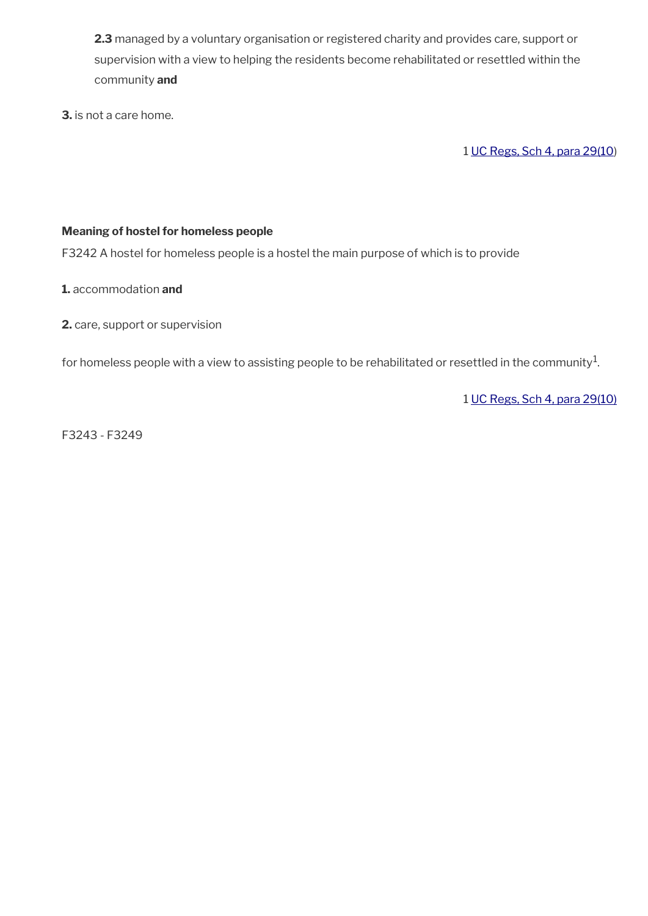**2.3** managed by a voluntary organisation or registered charity and provides care, support or supervision with a view to helping the residents become rehabilitated or resettled within the community **and**

**3.** is not a care home.

1 [UC Regs, Sch 4, para 29\(10](http://www.legislation.gov.uk/uksi/2013/376/schedule/4))

## **Meaning of hostel for homeless people**

F3242 A hostel for homeless people is a hostel the main purpose of which is to provide

**1.** accommodation **and**

**2.** care, support or supervision

for homeless people with a view to assisting people to be rehabilitated or resettled in the community $^{\mathrm{1}}$ .

1 [UC Regs, Sch 4, para 29\(10\)](http://www.legislation.gov.uk/uksi/2013/376/schedule/4)

F3243 - F3249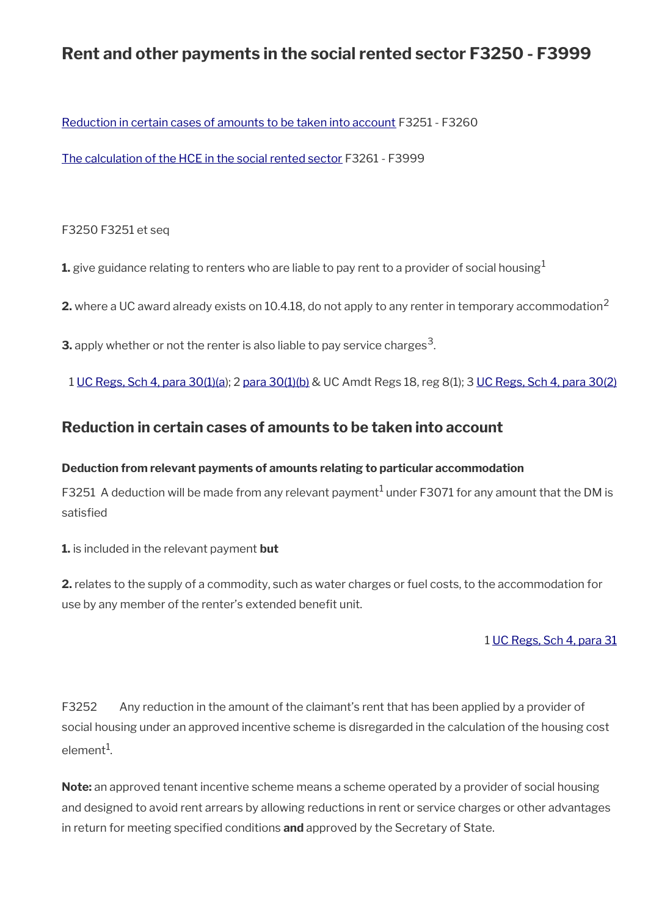# **Rent and other payments in the social rented sector F3250 - F3999**

[Reduction in certain cases of amounts to be taken into account](#page-39-0) F3251 - F3260

[The calculation of the HCE in the social rented sector](#page-41-0) F3261 - F3999

## F3250 F3251 et seq

**1.** give guidance relating to renters who are liable to pay rent to a provider of social housing<sup>1</sup>

**2.** where a UC award already exists on 10.4.18, do not apply to any renter in temporary accommodation<sup>2</sup>

**3.** apply whether or not the renter is also liable to pay service charges $^3$ .

1 [UC Regs, Sch 4, para 30\(1\)\(a](http://www.legislation.gov.uk/uksi/2013/376/schedule/4)); 2 [para 30\(1\)\(b\)](http://www.legislation.gov.uk/uksi/2013/376/schedule/4) & UC Amdt Regs 18, reg 8(1); 3 [UC Regs, Sch 4, para 30\(2\)](http://www.legislation.gov.uk/uksi/2013/376/schedule/4)

# <span id="page-39-0"></span>**Reduction in certain cases of amounts to be taken into account**

## **Deduction from relevant payments of amounts relating to particular accommodation**

F3251 A deduction will be made from any relevant payment $^1$  under F3071 for any amount that the DM is satisfed

**1.** is included in the relevant payment **but**

**2.** relates to the supply of a commodity, such as water charges or fuel costs, to the accommodation for use by any member of the renter's extended benefit unit.

## 1 [UC Regs, Sch 4, para 31](http://www.legislation.gov.uk/uksi/2013/376/schedule/4)

F3252 Any reduction in the amount of the claimant's rent that has been applied by a provider of social housing under an approved incentive scheme is disregarded in the calculation of the housing cost element $^1$ .

**Note:** an approved tenant incentive scheme means a scheme operated by a provider of social housing and designed to avoid rent arrears by allowing reductions in rent or service charges or other advantages in return for meeting specifed conditions **and** approved by the Secretary of State.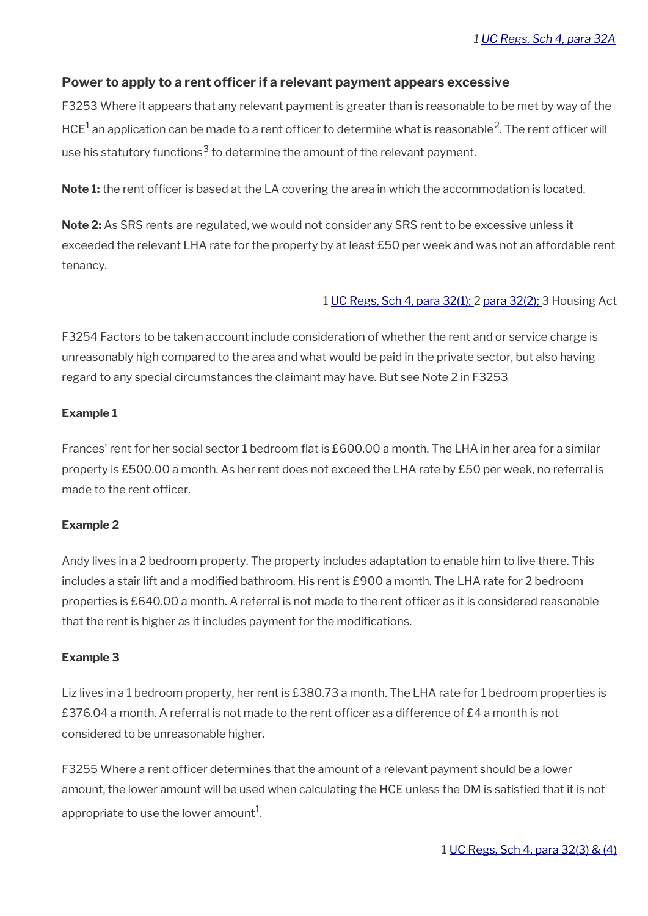## Power to apply to a rent officer if a relevant payment appears excessive

F3253 Where it appears that any relevant payment is greater than is reasonable to be met by way of the HCE $^1$  an application can be made to a rent officer to determine what is reasonable $^2$ . The rent officer will use his statutory functions<sup>3</sup> to determine the amount of the relevant payment.

**Note 1:** the rent officer is based at the LA covering the area in which the accommodation is located.

**Note 2:** As SRS rents are regulated, we would not consider any SRS rent to be excessive unless it exceeded the relevant LHA rate for the property by at least £50 per week and was not an affordable rent tenancy.

#### 1 [UC Regs, Sch 4, para 32\(1\);](http://www.legislation.gov.uk/uksi/2013/376/schedule/4) 2 [para 32\(2\);](http://www.legislation.gov.uk/uksi/2013/376/schedule/4) 3 Housing Act

F3254 Factors to be taken account include consideration of whether the rent and or service charge is unreasonably high compared to the area and what would be paid in the private sector, but also having regard to any special circumstances the claimant may have. But see Note 2 in F3253

#### **Example 1**

Frances' rent for her social sector 1 bedroom flat is £600.00 a month. The LHA in her area for a similar property is £500.00 a month. As her rent does not exceed the LHA rate by £50 per week, no referral is made to the rent officer.

#### **Example 2**

Andy lives in a 2 bedroom property. The property includes adaptation to enable him to live there. This includes a stair lift and a modifed bathroom. His rent is £900 a month. The LHA rate for 2 bedroom properties is £640.00 a month. A referral is not made to the rent officer as it is considered reasonable that the rent is higher as it includes payment for the modifications.

#### **Example 3**

Liz lives in a 1 bedroom property, her rent is £380.73 a month. The LHA rate for 1 bedroom properties is £376.04 a month. A referral is not made to the rent officer as a difference of £4 a month is not considered to be unreasonable higher.

F3255 Where a rent officer determines that the amount of a relevant payment should be a lower amount, the lower amount will be used when calculating the HCE unless the DM is satisfed that it is not appropriate to use the lower amount $^1\!\!$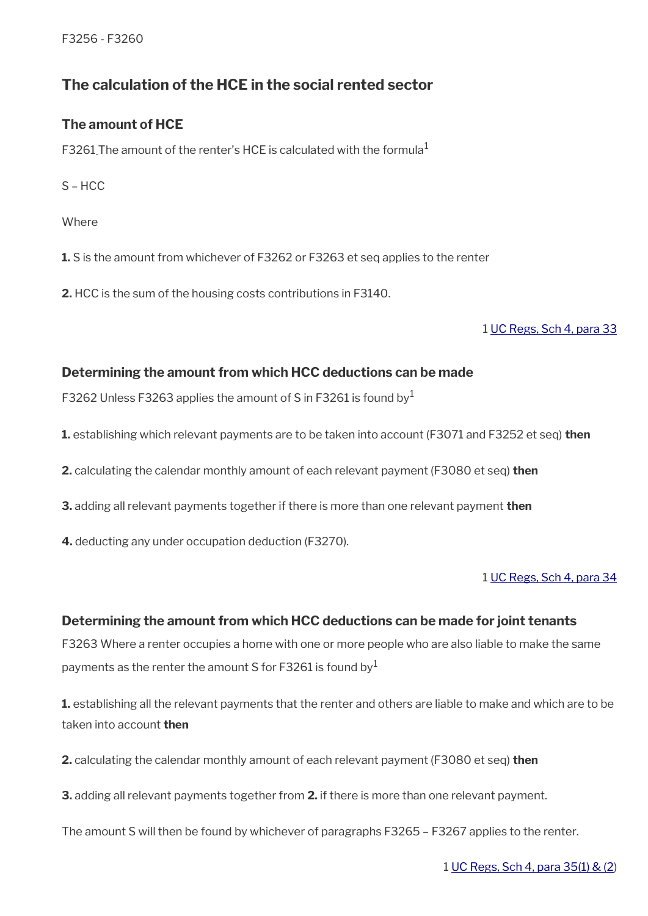F3256 - F3260

# <span id="page-41-0"></span>**The calculation of the HCE in the social rented sector**

## **The amount of HCE**

F3261 The amount of the renter's HCE is calculated with the formula $<sup>1</sup>$ </sup>

S – HCC

**Where** 

**1.** S is the amount from whichever of F3262 or F3263 et seq applies to the renter

**2.** HCC is the sum of the housing costs contributions in F3140.

1 [UC Regs, Sch 4, para 33](http://www.legislation.gov.uk/uksi/2013/376/schedule/4)

## **Determining the amount from which HCC deductions can be made**

F3262 Unless F3263 applies the amount of S in F3261 is found by  $1$ 

**1.** establishing which relevant payments are to be taken into account (F3071 and F3252 et seq) **then**

**2.** calculating the calendar monthly amount of each relevant payment (F3080 et seq) **then**

**3.** adding all relevant payments together if there is more than one relevant payment **then**

**4.** deducting any under occupation deduction (F3270).

1 [UC Regs, Sch 4, para 34](http://www.legislation.gov.uk/uksi/2013/376/schedule/4)

## **Determining the amount from which HCC deductions can be made for joint tenants**

F3263 Where a renter occupies a home with one or more people who are also liable to make the same payments as the renter the amount S for F3261 is found by  $1$ 

**1.** establishing all the relevant payments that the renter and others are liable to make and which are to be taken into account **then**

**2.** calculating the calendar monthly amount of each relevant payment (F3080 et seq) **then**

**3.** adding all relevant payments together from **2.** if there is more than one relevant payment.

The amount S will then be found by whichever of paragraphs F3265 – F3267 applies to the renter.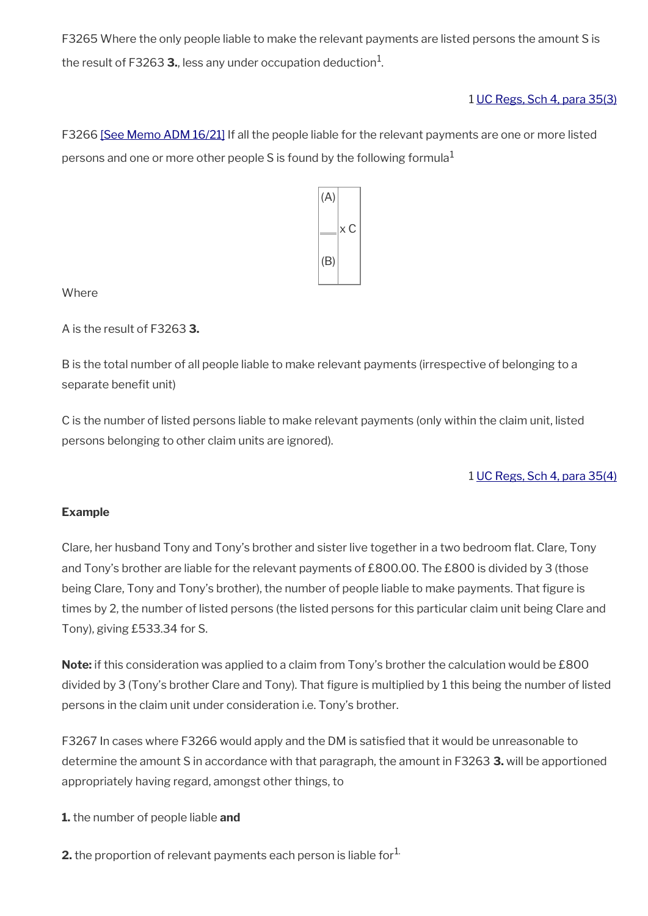F3265 Where the only people liable to make the relevant payments are listed persons the amount S is the result of F3263 **3.**, less any under occupation deduction $^1$ .

1 [UC Regs, Sch 4, para 35\(3\)](http://www.legislation.gov.uk/uksi/2013/376/schedule/4)

F3266 [\[See Memo ADM 16/21\]](https://intranet.dwp.gov.uk/manual/advice-decision-making-adm/16-21-under-occupancy-deduction-%E2%80%93-sanctuary-scheme) If all the people liable for the relevant payments are one or more listed persons and one or more other people S is found by the following formula<sup>1</sup>



**Where** 

A is the result of F3263 **3.**

B is the total number of all people liable to make relevant payments (irrespective of belonging to a separate benefit unit)

C is the number of listed persons liable to make relevant payments (only within the claim unit, listed persons belonging to other claim units are ignored).

## 1 [UC Regs, Sch 4, para 35\(4\)](http://www.legislation.gov.uk/uksi/2013/376/schedule/4)

## **Example**

Clare, her husband Tony and Tony's brother and sister live together in a two bedroom fat. Clare, Tony and Tony's brother are liable for the relevant payments of £800.00. The £800 is divided by 3 (those being Clare, Tony and Tony's brother), the number of people liable to make payments. That figure is times by 2, the number of listed persons (the listed persons for this particular claim unit being Clare and Tony), giving £533.34 for S.

**Note:** if this consideration was applied to a claim from Tony's brother the calculation would be £800 divided by 3 (Tony's brother Clare and Tony). That figure is multiplied by 1 this being the number of listed persons in the claim unit under consideration i.e. Tony's brother.

F3267 In cases where F3266 would apply and the DM is satisfed that it would be unreasonable to determine the amount S in accordance with that paragraph, the amount in F3263 **3.** will be apportioned appropriately having regard, amongst other things, to

**1.** the number of people liable **and**

**2.** the proportion of relevant payments each person is liable for $<sup>L</sup>$ .</sup>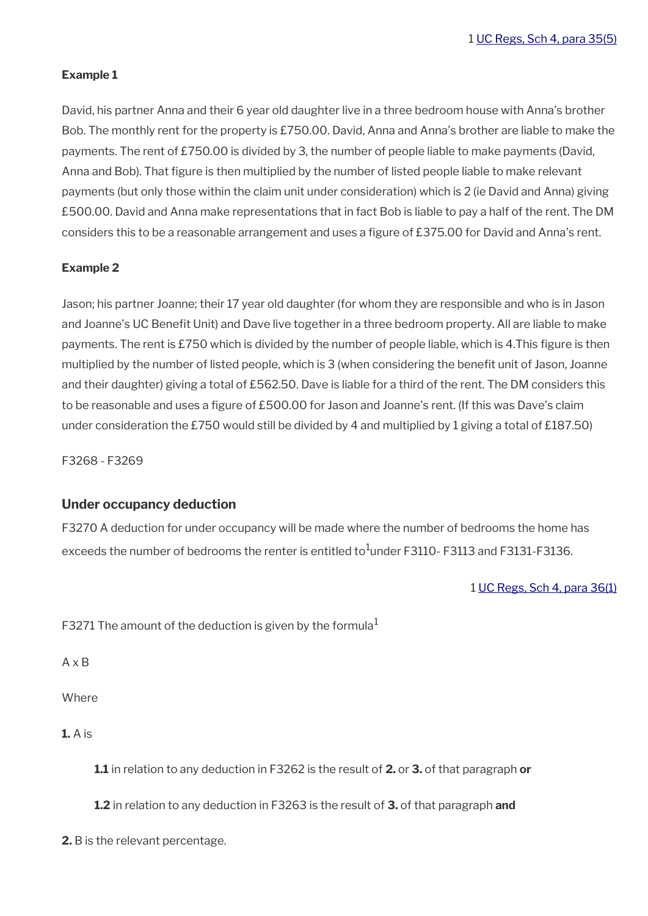#### **Example 1**

David, his partner Anna and their 6 year old daughter live in a three bedroom house with Anna's brother Bob. The monthly rent for the property is £750.00. David, Anna and Anna's brother are liable to make the payments. The rent of £750.00 is divided by 3, the number of people liable to make payments (David, Anna and Bob). That figure is then multiplied by the number of listed people liable to make relevant payments (but only those within the claim unit under consideration) which is 2 (ie David and Anna) giving £500.00. David and Anna make representations that in fact Bob is liable to pay a half of the rent. The DM considers this to be a reasonable arrangement and uses a figure of £375.00 for David and Anna's rent.

#### **Example 2**

Jason; his partner Joanne; their 17 year old daughter (for whom they are responsible and who is in Jason and Joanne's UC Benefit Unit) and Dave live together in a three bedroom property. All are liable to make payments. The rent is £750 which is divided by the number of people liable, which is 4.This fgure is then multiplied by the number of listed people, which is 3 (when considering the benefit unit of Jason, Joanne and their daughter) giving a total of £562.50. Dave is liable for a third of the rent. The DM considers this to be reasonable and uses a fgure of £500.00 for Jason and Joanne's rent. (If this was Dave's claim under consideration the £750 would still be divided by 4 and multiplied by 1 giving a total of £187.50)

F3268 - F3269

#### **Under occupancy deduction**

F3270 A deduction for under occupancy will be made where the number of bedrooms the home has exceeds the number of bedrooms the renter is entitled to<sup>1</sup>under F3110- F3113 and F3131-F3136.

1 [UC Regs, Sch 4, para 36\(1\)](http://www.legislation.gov.uk/uksi/2013/376/schedule/4)

F3271 The amount of the deduction is given by the formula<sup>1</sup>

A x B

**Where** 

**1.** A is

**1.1** in relation to any deduction in F3262 is the result of **2.** or **3.** of that paragraph **or**

**1.2** in relation to any deduction in F3263 is the result of **3.** of that paragraph **and**

**2.** B is the relevant percentage.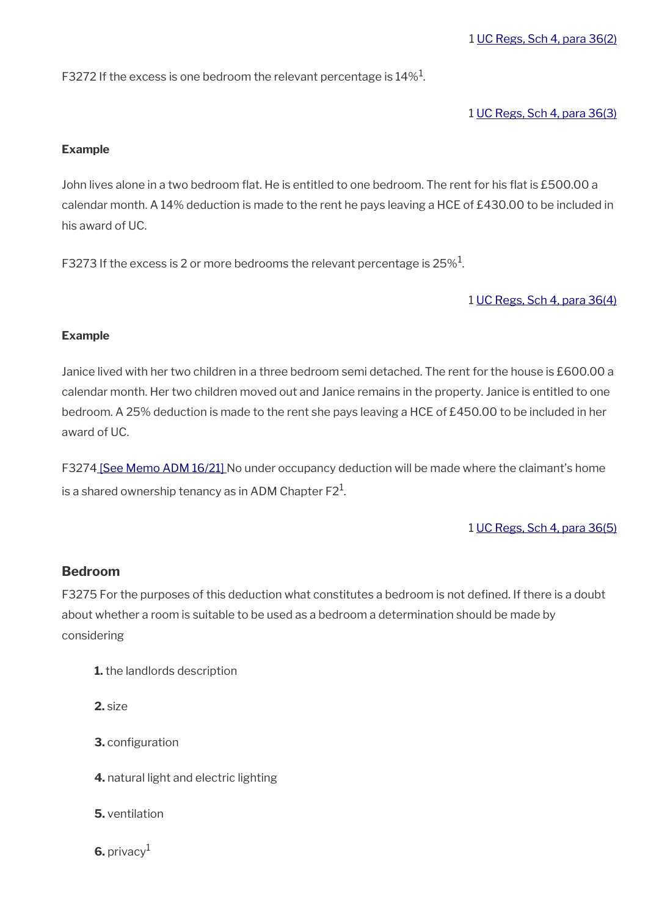F3272 If the excess is one bedroom the relevant percentage is  $14\%^1$ .

1 [UC Regs, Sch 4, para 36\(3\)](http://www.legislation.gov.uk/uksi/2013/376/schedule/4)

#### **Example**

John lives alone in a two bedroom flat. He is entitled to one bedroom. The rent for his flat is £500.00 a calendar month. A 14% deduction is made to the rent he pays leaving a HCE of £430.00 to be included in his award of UC.

F3273 If the excess is 2 or more bedrooms the relevant percentage is 25% $^{\rm 1}$ .

1 [UC Regs, Sch 4, para 36\(4\)](http://www.legislation.gov.uk/uksi/2013/376/schedule/4)

## **Example**

Janice lived with her two children in a three bedroom semi detached. The rent for the house is £600.00 a calendar month. Her two children moved out and Janice remains in the property. Janice is entitled to one bedroom. A 25% deduction is made to the rent she pays leaving a HCE of £450.00 to be included in her award of UC.

F327[4 \[See Memo ADM 16/21\]](https://intranet.dwp.gov.uk/manual/advice-decision-making-adm/16-21-under-occupancy-deduction-%E2%80%93-sanctuary-scheme) No under occupancy deduction will be made where the claimant's home is a shared ownership tenancy as in ADM Chapter F2 $^{\rm 1}$ .

1 [UC Regs, Sch 4, para 36\(5\)](http://www.legislation.gov.uk/uksi/2013/376/schedule/4)

## **Bedroom**

F3275 For the purposes of this deduction what constitutes a bedroom is not defined. If there is a doubt about whether a room is suitable to be used as a bedroom a determination should be made by considering

- **1.** the landlords description
- **2.** size
- **3.** configuration
- **4.** natural light and electric lighting
- **5.** ventilation
- 6. privacy<sup>1</sup>